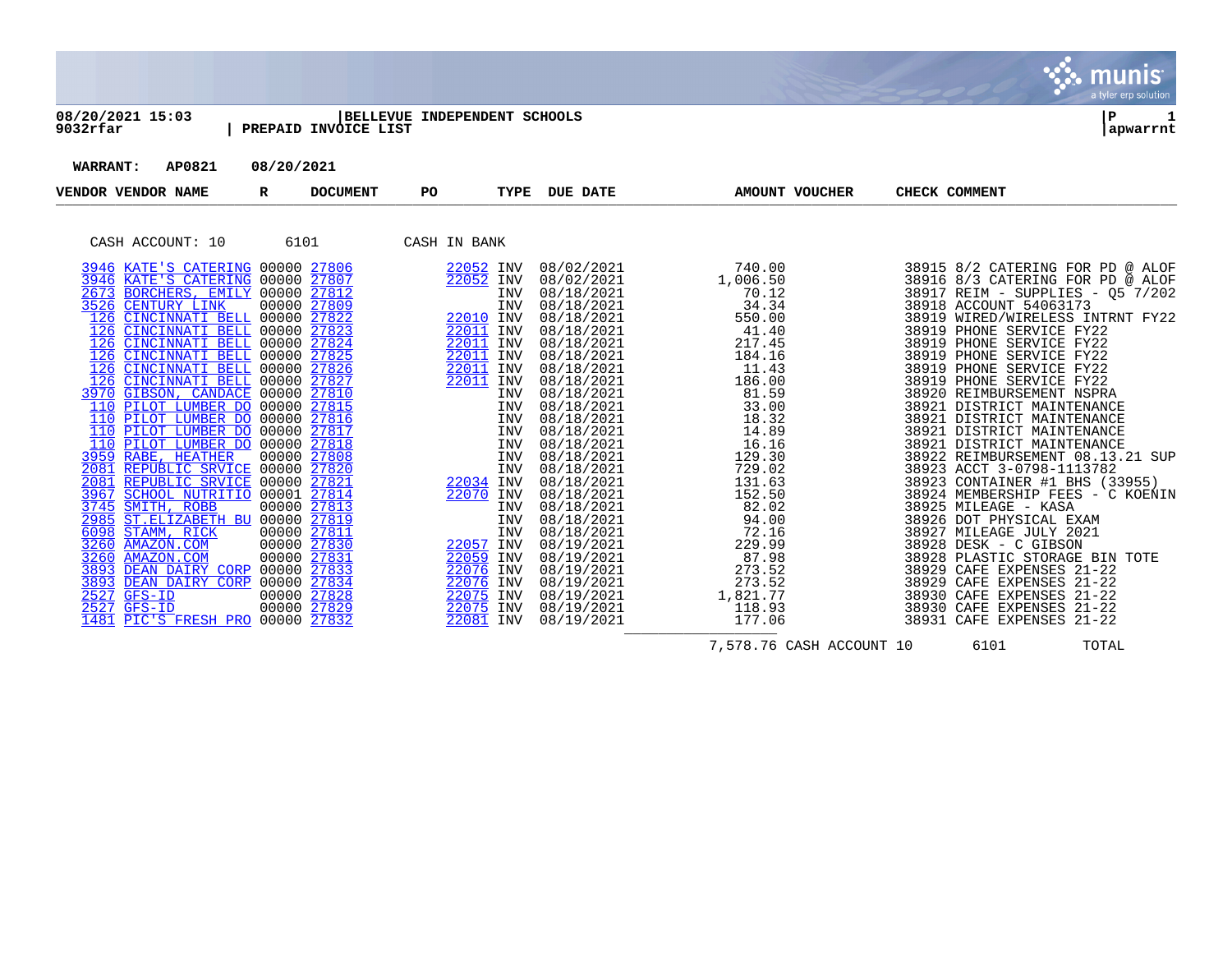

| 08/20/2021 15:03<br>9032rfar                                                                                                                                                                                                                                                                                                                                                                                                                                                                                                                                                                                                                                                                                                                                                                                                                                                                                                                                        |                                                                                                                                                    | PREPAID INVOICE LIST | BELLEVUE INDEPENDENT SCHOOLS                                                                                                                                                                                              |                                                                                                |                                                                                                                                                                                                                                                                                                                                                                                                                    |                                                                                                                                                                                                                                                                                       | Р<br>apwarrnt                                                                                                                                                                                                                                                                                                                                                                                                                                                                                                                                                                                                                                                                                                                                                                                                                                                                                            |
|---------------------------------------------------------------------------------------------------------------------------------------------------------------------------------------------------------------------------------------------------------------------------------------------------------------------------------------------------------------------------------------------------------------------------------------------------------------------------------------------------------------------------------------------------------------------------------------------------------------------------------------------------------------------------------------------------------------------------------------------------------------------------------------------------------------------------------------------------------------------------------------------------------------------------------------------------------------------|----------------------------------------------------------------------------------------------------------------------------------------------------|----------------------|---------------------------------------------------------------------------------------------------------------------------------------------------------------------------------------------------------------------------|------------------------------------------------------------------------------------------------|--------------------------------------------------------------------------------------------------------------------------------------------------------------------------------------------------------------------------------------------------------------------------------------------------------------------------------------------------------------------------------------------------------------------|---------------------------------------------------------------------------------------------------------------------------------------------------------------------------------------------------------------------------------------------------------------------------------------|----------------------------------------------------------------------------------------------------------------------------------------------------------------------------------------------------------------------------------------------------------------------------------------------------------------------------------------------------------------------------------------------------------------------------------------------------------------------------------------------------------------------------------------------------------------------------------------------------------------------------------------------------------------------------------------------------------------------------------------------------------------------------------------------------------------------------------------------------------------------------------------------------------|
| AP0821<br><b>WARRANT:</b>                                                                                                                                                                                                                                                                                                                                                                                                                                                                                                                                                                                                                                                                                                                                                                                                                                                                                                                                           | 08/20/2021                                                                                                                                         |                      |                                                                                                                                                                                                                           |                                                                                                |                                                                                                                                                                                                                                                                                                                                                                                                                    |                                                                                                                                                                                                                                                                                       |                                                                                                                                                                                                                                                                                                                                                                                                                                                                                                                                                                                                                                                                                                                                                                                                                                                                                                          |
| VENDOR VENDOR NAME                                                                                                                                                                                                                                                                                                                                                                                                                                                                                                                                                                                                                                                                                                                                                                                                                                                                                                                                                  | R                                                                                                                                                  | <b>DOCUMENT</b>      | PO.                                                                                                                                                                                                                       | TYPE                                                                                           | <b>DUE DATE</b>                                                                                                                                                                                                                                                                                                                                                                                                    | <b>AMOUNT VOUCHER</b>                                                                                                                                                                                                                                                                 | CHECK COMMENT                                                                                                                                                                                                                                                                                                                                                                                                                                                                                                                                                                                                                                                                                                                                                                                                                                                                                            |
| CASH ACCOUNT: 10                                                                                                                                                                                                                                                                                                                                                                                                                                                                                                                                                                                                                                                                                                                                                                                                                                                                                                                                                    | 6101                                                                                                                                               |                      | CASH IN BANK                                                                                                                                                                                                              |                                                                                                |                                                                                                                                                                                                                                                                                                                                                                                                                    |                                                                                                                                                                                                                                                                                       |                                                                                                                                                                                                                                                                                                                                                                                                                                                                                                                                                                                                                                                                                                                                                                                                                                                                                                          |
| 3946 KATE'S CATERING 00000 27806<br>3946 KATE'S CATERING 00000 27807<br>2673 BORCHERS, EMILY 00000 27812<br>3526 CENTURY LINK<br>CINCINNATI BELL 00000 27822<br>126<br>CINCINNATI BELL 00000 27823<br>126<br>CINCINNATI BELL 00000 27824<br>126<br>CINCINNATI BELL 00000 27825<br>126<br>CINCINNATI BELL 00000 27826<br>126<br>CINCINNATI BELL 00000 27827<br>126<br>GIBSON, CANDACE 00000 27810<br>3970<br>110 PILOT LUMBER DO 00000 27815<br>110 PILOT LUMBER DO 00000 27816<br>110 PILOT LUMBER DO 00000 27817<br>110 PILOT LUMBER DO 00000 27818<br><b>3959 RABE, HEATHER</b><br>REPUBLIC SRVICE 00000 27820<br>2081<br>REPUBLIC SRVICE<br>2081<br>SCHOOL NUTRITIO 00001 27814<br>3967<br>3745 SMITH, ROBB<br>2985 ST.ELIZABETH BU 00000 27819<br>6098 STAMM, RICK<br>3260<br>AMAZON.COM<br>3260<br>AMAZON.COM<br>DEAN DAIRY CORP 00000 27833<br>3893<br>DEAN DAIRY CORP<br>3893<br>2527<br>$GFS-ID$<br>2527<br>$GFS-ID$<br>PIC'S FRESH PRO 00000 27832<br>1481 | 00000 27809<br>00000 27808<br>00000 27821<br>00000 27813<br>00000 27811<br>00000 27830<br>00000 27831<br>00000 27834<br>00000 27828<br>00000 27829 |                      | 22052 INV<br>22052 INV<br>22010 INV<br>22011 INV<br>22011 INV<br>22011 INV<br>22011 INV<br>22011 INV<br>22034 INV<br>22070 INV<br>22057 INV<br>22059 INV<br>22076 INV<br>22076 INV<br>22075 INV<br>22075 INV<br>22081 INV | INV<br><b>INV</b><br>INV<br>INV<br>INV<br>INV<br>INV<br>INV<br>INV<br>INV<br>INV<br><b>INV</b> | 08/02/2021<br>08/02/2021<br>08/18/2021<br>08/18/2021<br>08/18/2021<br>08/18/2021<br>08/18/2021<br>08/18/2021<br>08/18/2021<br>08/18/2021<br>08/18/2021<br>08/18/2021<br>08/18/2021<br>08/18/2021<br>08/18/2021<br>08/18/2021<br>08/18/2021<br>08/18/2021<br>08/18/2021<br>08/18/2021<br>08/18/2021<br>08/18/2021<br>08/19/2021<br>08/19/2021<br>08/19/2021<br>08/19/2021<br>08/19/2021<br>08/19/2021<br>08/19/2021 | 740.00<br>1,006.50<br>70.12<br>34.34<br>550.00<br>41.40<br>217.45<br>184.16<br>11.43<br>186.00<br>81.59<br>33.00<br>18.32<br>14.89<br>16.16<br>129.30<br>729.02<br>131.63<br>152.50<br>82.02<br>94.00<br>72.16<br>229.99<br>87.98<br>273.52<br>273.52<br>1,821.77<br>118.93<br>177.06 | 38915 8/2 CATERING FOR PD @ ALOF<br>38916 8/3 CATERING FOR PD @ ALOF<br>38917 REIM - SUPPLIES - 05 7/202<br>38918 ACCOUNT 54063173<br>38919 WIRED/WIRELESS INTRNT FY22<br>38919 PHONE SERVICE FY22<br>38919 PHONE SERVICE FY22<br>38919 PHONE SERVICE FY22<br>38919 PHONE SERVICE FY22<br>38919 PHONE SERVICE FY22<br>38920 REIMBURSEMENT NSPRA<br>38921 DISTRICT MAINTENANCE<br>38921 DISTRICT MAINTENANCE<br>38921 DISTRICT MAINTENANCE<br>38921 DISTRICT MAINTENANCE<br>38922 REIMBURSEMENT 08.13.21 SUP<br>38923 ACCT 3-0798-1113782<br>38923 CONTAINER #1 BHS (33955)<br>38924 MEMBERSHIP FEES - C KOENIN<br>38925 MILEAGE - KASA<br>38926 DOT PHYSICAL EXAM<br>38927 MILEAGE JULY 2021<br>38928 DESK - C GIBSON<br>38928 PLASTIC STORAGE BIN TOTE<br>38929 CAFE EXPENSES 21-22<br>38929 CAFE EXPENSES 21-22<br>38930 CAFE EXPENSES 21-22<br>38930 CAFE EXPENSES 21-22<br>38931 CAFE EXPENSES 21-22 |

7,578.76 CASH ACCOUNT 10 6101 TOTAL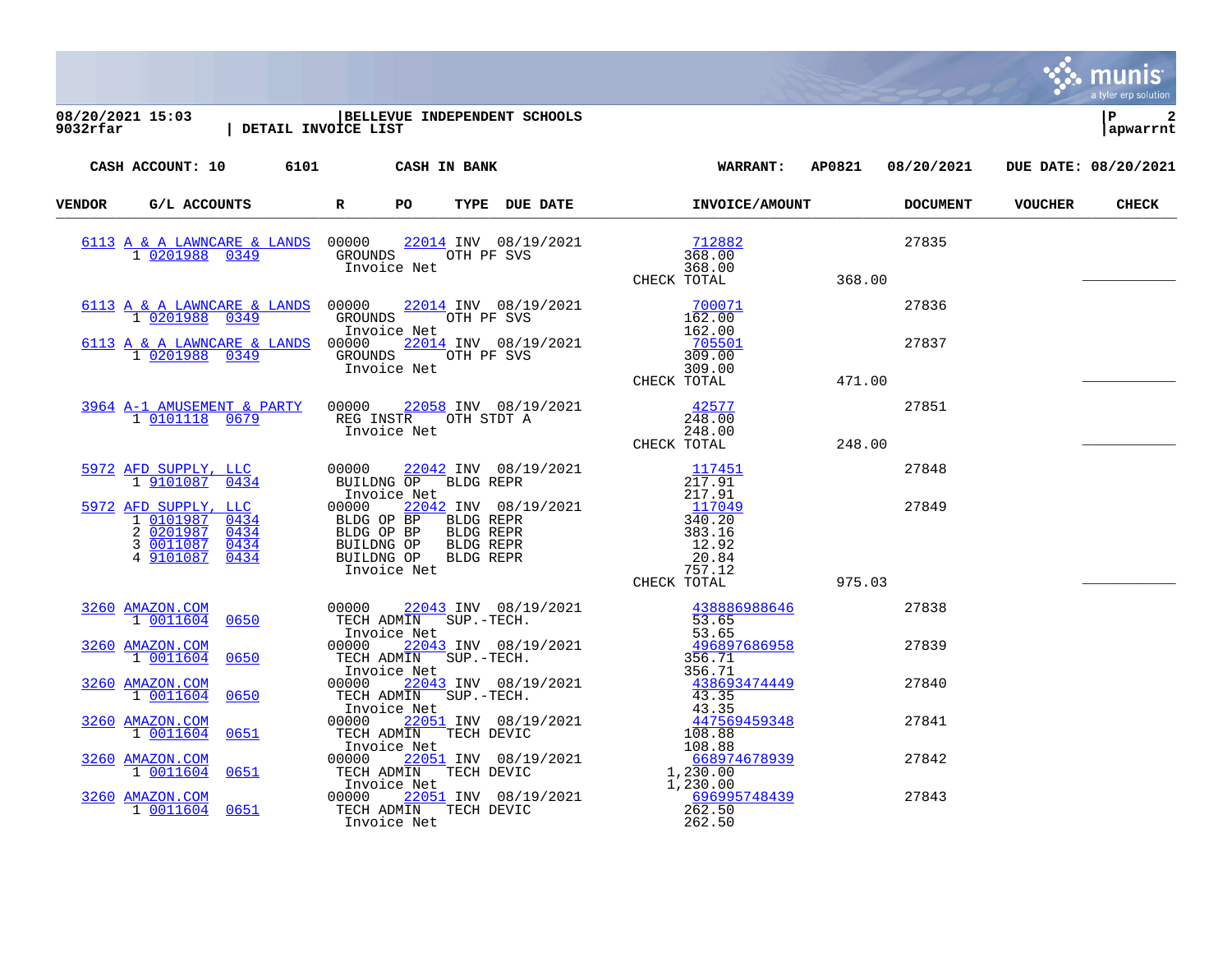| 08/20/2021 15:03  BELLEVUE INDEPENDENT SCHOOLS<br>9032rfar   DETAIL INVOICE LIST                                                                                                                                                                                                                                                                                                                |    |  |                                              |        |       |                | $\mathbf{2}$<br>ΙP<br>apwarrnt |
|-------------------------------------------------------------------------------------------------------------------------------------------------------------------------------------------------------------------------------------------------------------------------------------------------------------------------------------------------------------------------------------------------|----|--|----------------------------------------------|--------|-------|----------------|--------------------------------|
| CASH ACCOUNT: 10 6101 CASH IN BANK                                                                                                                                                                                                                                                                                                                                                              |    |  | WARRANT: AP0821 08/20/2021                   |        |       |                | DUE DATE: 08/20/2021           |
| VENDOR G/L ACCOUNTS R                                                                                                                                                                                                                                                                                                                                                                           | PO |  | TYPE DUE DATE <b>INVOICE/AMOUNT</b> DOCUMENT |        |       | <b>VOUCHER</b> | <b>CHECK</b>                   |
|                                                                                                                                                                                                                                                                                                                                                                                                 |    |  |                                              | 368.00 | 27835 |                |                                |
|                                                                                                                                                                                                                                                                                                                                                                                                 |    |  |                                              |        | 27836 |                |                                |
|                                                                                                                                                                                                                                                                                                                                                                                                 |    |  |                                              |        | 27837 |                |                                |
| $\begin{array}{cccccc} 3964 & \texttt{A-1} & \texttt{AMUSEMENT} & \texttt{R} & \texttt{PARTY} & 00000 & 22058 & \texttt{INV} & 08/19/2021 & & & & 42577 & \\ & 1 & \texttt{0101118} & \texttt{0679} & & \texttt{REG INSTR} & \texttt{OTH} & \texttt{STDT} & \texttt{A} & & & 248.00 & \\ & & & & & & & & & & & 248.00 & \\ & & & & & & & & & & & & 248.00 & \\ & & & & & & & & & & & & & & 248$ |    |  |                                              |        | 27851 |                |                                |
|                                                                                                                                                                                                                                                                                                                                                                                                 |    |  |                                              |        | 27848 |                |                                |
| $\begin{tabular}{l c c c c c} \hline 5972&\texttt{AFD SUPPLY, LLC}&00000&22042&\texttt{INV}&08/19/2021&117451\\ \hline 1&9101087&0434&\texttt{BULLING OP} &\texttt{BLDG REPR}&217.91\\ &\texttt{Invoice Net}&00000&22042&\texttt{INV}&08/19/2021&117451\\ &\texttt{Invoice Net}&217.91&117049\\ 1&0101987&0434&\texttt{BLDG OP BP} &\texttt$                                                    |    |  |                                              |        | 27849 |                |                                |
|                                                                                                                                                                                                                                                                                                                                                                                                 |    |  |                                              |        | 27838 |                |                                |
|                                                                                                                                                                                                                                                                                                                                                                                                 |    |  |                                              |        |       |                |                                |
|                                                                                                                                                                                                                                                                                                                                                                                                 |    |  |                                              |        | 27839 |                |                                |
|                                                                                                                                                                                                                                                                                                                                                                                                 |    |  |                                              |        | 27840 |                |                                |
|                                                                                                                                                                                                                                                                                                                                                                                                 |    |  |                                              |        | 27841 |                |                                |
|                                                                                                                                                                                                                                                                                                                                                                                                 |    |  |                                              |        | 27842 |                |                                |
| $\begin{tabular}{l c c c c c} \hline 3260&AMZON_{LOM}$&0650&00000&22043&\text{INV}&08/19/2021&\text{0.0000}&0.00000&22043&\text{INV}&08/19/2021&\text{0.00000}&0.00000&22043&\text{INV}&08/19/2021&\text{0.00000}&0.00000&0.0000&0.0000&0.0000&0.0000&0.0000&0.0000&0.0000&0.0$                                                                                                                 |    |  |                                              |        | 27843 |                |                                |

 $\ddot{\ddot{\mathbf{w}}}$  munis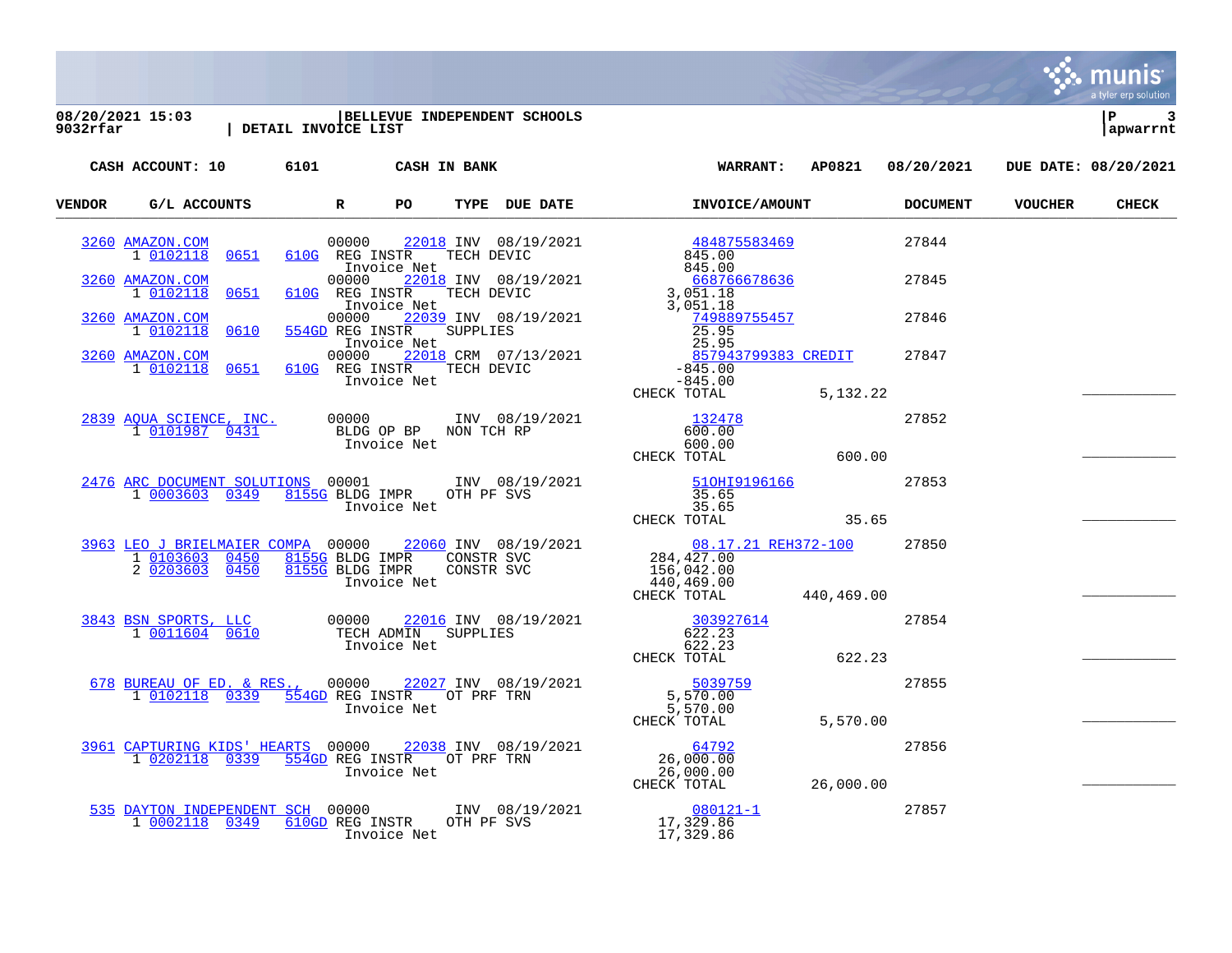a tyler erp solution **08/20/2021 15:03 |BELLEVUE INDEPENDENT SCHOOLS |P 3 9032rfar | DETAIL INVOICE LIST |apwarrnt CASH ACCOUNT: 10 6101 CASH IN BANK WARRANT: AP0821 08/20/2021 DUE DATE: 08/20/2021 VENDOR G/L ACCOUNTS R PO TYPE DUE DATE INVOICE/AMOUNT DOCUMENT VOUCHER CHECK** VERIDOR G/L ACCOONIS RELATION RELATION IN THE LOB DATE INVOLVER AROUNI [3260](https://yvwlndash063.tylertech.com/sites/mu9032/Live/_layouts/15/DashboardMunisV6.3/PassThru.aspx?-E=7n%2BKfqWBZ%2BuqxoeTJK0Sy/ghlrqWd5yP3oBNmMJ0p1zErn4a0D4EhQ6weCDClc3f&) [AMAZON.COM](https://yvwlndash063.tylertech.com/sites/mu9032/Live/_layouts/15/DashboardMunisV6.3/PassThru.aspx?-E=7n%2BKfqWBZ%2BuqxoeTJK0Sy/ghlrqWd5yP3oBNmMJ0p1zErn4a0D4EhQ6weCDClc3f&) 00000 [22018](https://yvwlndash063.tylertech.com/sites/mu9032/Live/_layouts/15/DashboardMunisV6.3/PassThru.aspx?-E=UkvGqh2krVQt1h4e%2BiZDhLVl%2BKBxARQVMbDoCChWJHYxIfLFLDOeORlSm4bYHaW3&) INV 08/19/2021 [484875583469](https://yvwlndash063.tylertech.com/sites/mu9032/Live/_layouts/15/DashboardMunisV6.3/PassThru.aspx?-E=TA1TsJJzabO5krR6IasXgd0WYUneo%2B1GtkDDb2brs%2BK3vV5oWdXrMWmnN/kFn1dOahwms3aK8umB2uC157Wm0A==&) 27844 1 [0102118](https://yvwlndash063.tylertech.com/sites/mu9032/Live/_layouts/15/DashboardMunisV6.3/PassThru.aspx?-E=diIUJATwOd3%2B8uGjm7TQdY1M%2BbgFBKylbDgRV/Y%2BwdM9rE/ZaC2yF5ASIdqEf2SkedxoFS/KicgC75QQy8UuOQ==&) [0651](https://yvwlndash063.tylertech.com/sites/mu9032/Live/_layouts/15/DashboardMunisV6.3/PassThru.aspx?-E=diIUJATwOd3%2B8uGjm7TQdY1M%2BbgFBKylbDgRV/Y%2BwdM9rE/ZaC2yF5ASIdqEf2SkedxoFS/KicgC75QQy8UuOQ==&) [610G](https://yvwlndash063.tylertech.com/sites/mu9032/Live/_layouts/15/DashboardMunisV6.3/PassThru.aspx?-E=diIUJATwOd3%2B8uGjm7TQdY1M%2BbgFBKylbDgRV/Y%2BwdM9rE/ZaC2yF5ASIdqEf2SkedxoFS/KicgC75QQy8UuOQ==&) REG INSTR TECH DEVIC 845.00 Invoice Net<br>00000 22018 INV 08/19/2021 668766678636 [3260](https://yvwlndash063.tylertech.com/sites/mu9032/Live/_layouts/15/DashboardMunisV6.3/PassThru.aspx?-E=3%2Bh/%2BNfvZQ8LvaXEb1Kctq92j%2BwSxFy7pgXeSJpRXh/H3tYZPWKZ9xHcfcwEYR6D&) [AMAZON.COM](https://yvwlndash063.tylertech.com/sites/mu9032/Live/_layouts/15/DashboardMunisV6.3/PassThru.aspx?-E=3%2Bh/%2BNfvZQ8LvaXEb1Kctq92j%2BwSxFy7pgXeSJpRXh/H3tYZPWKZ9xHcfcwEYR6D&) 00000 [22018](https://yvwlndash063.tylertech.com/sites/mu9032/Live/_layouts/15/DashboardMunisV6.3/PassThru.aspx?-E=hDlLoYPfFpT2JGL6BIxGSeIynhsxIVfWcJYoxNqmO4jV7SQHNoD/ND6Z4igvYFLY&) INV 08/19/2021 [668766678636](https://yvwlndash063.tylertech.com/sites/mu9032/Live/_layouts/15/DashboardMunisV6.3/PassThru.aspx?-E=LtEzEo4xn7plsFkF/KxWn1jueEp9fJqN6xmrWjwsH394tr7kHwck4WGitxEPRgB0OD%2BJvREJ3Sma9bXiCclkvw==&) 27845<br>1 0102118 0651 610G REG INSTR TECH DEVIC 3,051.18 1002 REG INSTR TECH DEVIC 3,051.18<br>1.051.18 Invoice Net 3,051.18 Invoice Net 3,051.18 [3260](https://yvwlndash063.tylertech.com/sites/mu9032/Live/_layouts/15/DashboardMunisV6.3/PassThru.aspx?-E=ZOYDthrq9qACR0KyYic3iM8Ks197/nHA0s44BicPDkI7SdoL6AOEb68pIW/id8R5&) [AMAZON.COM](https://yvwlndash063.tylertech.com/sites/mu9032/Live/_layouts/15/DashboardMunisV6.3/PassThru.aspx?-E=ZOYDthrq9qACR0KyYic3iM8Ks197/nHA0s44BicPDkI7SdoL6AOEb68pIW/id8R5&) 00000 [22039](https://yvwlndash063.tylertech.com/sites/mu9032/Live/_layouts/15/DashboardMunisV6.3/PassThru.aspx?-E=s%2BW3JMZMoHrAlO4BrdnCl0rbh8XR4HtClhhFcgPQy6uvKBAXWs6ywFrl9/jS64Zv&) INV 08/19/2021 [749889755457](https://yvwlndash063.tylertech.com/sites/mu9032/Live/_layouts/15/DashboardMunisV6.3/PassThru.aspx?-E=W%2B4gb8CJ4GNYeCITP5QG37hZnuU7turmVmDkcGGRya7CeTQcNhcNKvDFwMpCIfqtomtMHKQ/Ml%2Bn5Sr/cSSL5A==&) 27846 1 [0102118](https://yvwlndash063.tylertech.com/sites/mu9032/Live/_layouts/15/DashboardMunisV6.3/PassThru.aspx?-E=IoynQxCoU%2BTNg5nxPj47w9%2BotgKpVIsUJj1%2BsbugEZVjFJRSDnLTrs%2Bg0%2BNHeyMnE0JGXhD9XCigjqHxdP0QQA==&) [0610](https://yvwlndash063.tylertech.com/sites/mu9032/Live/_layouts/15/DashboardMunisV6.3/PassThru.aspx?-E=IoynQxCoU%2BTNg5nxPj47w9%2BotgKpVIsUJj1%2BsbugEZVjFJRSDnLTrs%2Bg0%2BNHeyMnE0JGXhD9XCigjqHxdP0QQA==&) [554GD](https://yvwlndash063.tylertech.com/sites/mu9032/Live/_layouts/15/DashboardMunisV6.3/PassThru.aspx?-E=IoynQxCoU%2BTNg5nxPj47w9%2BotgKpVIsUJj1%2BsbugEZVjFJRSDnLTrs%2Bg0%2BNHeyMnE0JGXhD9XCigjqHxdP0QQA==&) REG INSTR SUPPLIES 25.95<br>
myoice Net any 010212 25.95 Provice Net that the set of the 25.95 (1995)<br>10000 22018 CRM 07/13/2021 - 27847 857943799383 CREDIT 27847  $\frac{3260}{1} \frac{\text{AMAZON}}{0102118}$  $\frac{3260}{1} \frac{\text{AMAZON}}{0102118}$  $\frac{3260}{1} \frac{\text{AMAZON}}{0102118}$  0651 610G REG INSTR TECH DEVIC<br>-845.00 1 [0102118](https://yvwlndash063.tylertech.com/sites/mu9032/Live/_layouts/15/DashboardMunisV6.3/PassThru.aspx?-E=f3b4UEAxx0jn7mDOGH2%2BCziOAziK1I2OoNEgIDcFM0snk2cBw6ICpCavTeOgJvTfdptk4/Vyjxa3bbA5hDMz/g==&) [0651](https://yvwlndash063.tylertech.com/sites/mu9032/Live/_layouts/15/DashboardMunisV6.3/PassThru.aspx?-E=f3b4UEAxx0jn7mDOGH2%2BCziOAziK1I2OoNEgIDcFM0snk2cBw6ICpCavTeOgJvTfdptk4/Vyjxa3bbA5hDMz/g==&) [610G](https://yvwlndash063.tylertech.com/sites/mu9032/Live/_layouts/15/DashboardMunisV6.3/PassThru.aspx?-E=f3b4UEAxx0jn7mDOGH2%2BCziOAziK1I2OoNEgIDcFM0snk2cBw6ICpCavTeOgJvTfdptk4/Vyjxa3bbA5hDMz/g==&) REG INSTR TECH DEVIC -845.00 Invoice Net CHECK TOTAL 5,132.22 [2839](https://yvwlndash063.tylertech.com/sites/mu9032/Live/_layouts/15/DashboardMunisV6.3/PassThru.aspx?-E=aEs6FJX8GLnhvKQdGOx01o/dwvdSFn3WFYuUet5aI%2Bkn97VYCATtEVAKCIYJMiDB&) [AQUA SCIENCE, INC.](https://yvwlndash063.tylertech.com/sites/mu9032/Live/_layouts/15/DashboardMunisV6.3/PassThru.aspx?-E=aEs6FJX8GLnhvKQdGOx01o/dwvdSFn3WFYuUet5aI%2Bkn97VYCATtEVAKCIYJMiDB&) 00000 INV 08/19/2021 [132478](https://yvwlndash063.tylertech.com/sites/mu9032/Live/_layouts/15/DashboardMunisV6.3/PassThru.aspx?-E=8Bt2ieowkUNTMChTUBkUo9OgZ4HNfKaxR2l1Vi30oJxnw5F7etjN7itVXABKxuw4Q11Ag1GjQJG1%2BST%2BI50CKg==&) 27852 1 [0101987](https://yvwlndash063.tylertech.com/sites/mu9032/Live/_layouts/15/DashboardMunisV6.3/PassThru.aspx?-E=YXA9TEXqjb4tzNJ4ocnyveq30Om2Yv2JU68zfzBWyGAKL%2BRCocW43nORJTM3GlUV&) [0431](https://yvwlndash063.tylertech.com/sites/mu9032/Live/_layouts/15/DashboardMunisV6.3/PassThru.aspx?-E=YXA9TEXqjb4tzNJ4ocnyveq30Om2Yv2JU68zfzBWyGAKL%2BRCocW43nORJTM3GlUV&) BLDG OP BP NON TCH RP 600.00 Invoice Net 600.00 CHECK TOTAL 600.00 [2476](https://yvwlndash063.tylertech.com/sites/mu9032/Live/_layouts/15/DashboardMunisV6.3/PassThru.aspx?-E=aVzOpj2Urz0CQyEWWTes6Vw%2BTN6Ua%2BhLsNH%2Bk/MFy9LEDuoRGh6KDSAJKogEV0Zn&) [ARC DOCUMENT SOLUTIONS](https://yvwlndash063.tylertech.com/sites/mu9032/Live/_layouts/15/DashboardMunisV6.3/PassThru.aspx?-E=aVzOpj2Urz0CQyEWWTes6Vw%2BTN6Ua%2BhLsNH%2Bk/MFy9LEDuoRGh6KDSAJKogEV0Zn&) 00001 INV 08/19/2021 [51OHI9196166](https://yvwlndash063.tylertech.com/sites/mu9032/Live/_layouts/15/DashboardMunisV6.3/PassThru.aspx?-E=LTFslrag2FJpfwxJgIV4KULKG2pP8UCl%2BcqWaEaweRVSBu3QwK0nunRRn1msyrGff3ib/y%2B9fmJwK1e8DldtsA==&) 27853 1 [0003603](https://yvwlndash063.tylertech.com/sites/mu9032/Live/_layouts/15/DashboardMunisV6.3/PassThru.aspx?-E=si%2Bi1nUpNvwDf03Hkw5ER1JDMnm8se/nNK5b9EFmyE9oQ67CKcGysMgoXT5l6%2BlGbrzH2LR4WTTK8gRjvW3bHw==&) [0349](https://yvwlndash063.tylertech.com/sites/mu9032/Live/_layouts/15/DashboardMunisV6.3/PassThru.aspx?-E=si%2Bi1nUpNvwDf03Hkw5ER1JDMnm8se/nNK5b9EFmyE9oQ67CKcGysMgoXT5l6%2BlGbrzH2LR4WTTK8gRjvW3bHw==&) [8155G](https://yvwlndash063.tylertech.com/sites/mu9032/Live/_layouts/15/DashboardMunisV6.3/PassThru.aspx?-E=si%2Bi1nUpNvwDf03Hkw5ER1JDMnm8se/nNK5b9EFmyE9oQ67CKcGysMgoXT5l6%2BlGbrzH2LR4WTTK8gRjvW3bHw==&) BLDG IMPR OTH PF SVS 35.65 Invoice Net 35.65 CHECK TOTAL 35.65 \_\_\_\_\_\_\_\_\_\_\_ [3963](https://yvwlndash063.tylertech.com/sites/mu9032/Live/_layouts/15/DashboardMunisV6.3/PassThru.aspx?-E=uHeQXNA83ch1V7L6LYF7mkhsd1xdGl1dBXuV5v/1U/9W6euTu7tMalMVDFUaIgGg&) [LEO J BRIELMAIER COMPA](https://yvwlndash063.tylertech.com/sites/mu9032/Live/_layouts/15/DashboardMunisV6.3/PassThru.aspx?-E=uHeQXNA83ch1V7L6LYF7mkhsd1xdGl1dBXuV5v/1U/9W6euTu7tMalMVDFUaIgGg&) 00000 [22060](https://yvwlndash063.tylertech.com/sites/mu9032/Live/_layouts/15/DashboardMunisV6.3/PassThru.aspx?-E=yvDmaiORzuIH/OZMvTfPvrshUlnI1Wt/j99gUzvvxtv4AX0%2BUFx9PvSNgNosWObY&) INV 08/19/2021 [08.17.21 REH372-100](https://yvwlndash063.tylertech.com/sites/mu9032/Live/_layouts/15/DashboardMunisV6.3/PassThru.aspx?-E=c1lpo6eb/mLrWjx7hbhaqlSMmJVumKH0RyiNOSrv5AfpdKJAl/KQ6B60MTZqnXAxncUEXChKwS6UwFqIBypOMA==&) 27850 1 [0103603](https://yvwlndash063.tylertech.com/sites/mu9032/Live/_layouts/15/DashboardMunisV6.3/PassThru.aspx?-E=euulTytrz3hCwgWFbCQsdJADPGinfv9eNjnLGwXfydFQMxJMupskjoANZXG4%2BAUM4eOjicYF2YA8jBCXz1YAIQ==&) [0450](https://yvwlndash063.tylertech.com/sites/mu9032/Live/_layouts/15/DashboardMunisV6.3/PassThru.aspx?-E=euulTytrz3hCwgWFbCQsdJADPGinfv9eNjnLGwXfydFQMxJMupskjoANZXG4%2BAUM4eOjicYF2YA8jBCXz1YAIQ==&) [8155G](https://yvwlndash063.tylertech.com/sites/mu9032/Live/_layouts/15/DashboardMunisV6.3/PassThru.aspx?-E=euulTytrz3hCwgWFbCQsdJADPGinfv9eNjnLGwXfydFQMxJMupskjoANZXG4%2BAUM4eOjicYF2YA8jBCXz1YAIQ==&) BLDG IMPR CONSTR SVC 284,427.00 2 [0203603](https://yvwlndash063.tylertech.com/sites/mu9032/Live/_layouts/15/DashboardMunisV6.3/PassThru.aspx?-E=VS4dnK4udFYV0L/%2BMECHPJbCQJtKkQRpWyqz6e7ZDi7LY9qhnpqE3ihXm4N7mpCb%2BusLNTYIXsQFrciBaXj1mQ==&) [0450](https://yvwlndash063.tylertech.com/sites/mu9032/Live/_layouts/15/DashboardMunisV6.3/PassThru.aspx?-E=VS4dnK4udFYV0L/%2BMECHPJbCQJtKkQRpWyqz6e7ZDi7LY9qhnpqE3ihXm4N7mpCb%2BusLNTYIXsQFrciBaXj1mQ==&) [8155G](https://yvwlndash063.tylertech.com/sites/mu9032/Live/_layouts/15/DashboardMunisV6.3/PassThru.aspx?-E=VS4dnK4udFYV0L/%2BMECHPJbCQJtKkQRpWyqz6e7ZDi7LY9qhnpqE3ihXm4N7mpCb%2BusLNTYIXsQFrciBaXj1mQ==&) BLDG IMPR CONSTR SVC 156,042.00 Invoice Net 440,469.00<br>CHECK TOTAL CHECK TOTAL 440,469.00 \_\_\_\_\_\_\_\_\_\_\_ [3843](https://yvwlndash063.tylertech.com/sites/mu9032/Live/_layouts/15/DashboardMunisV6.3/PassThru.aspx?-E=PwLqctMOnnSA4W48%2BBuZ6iqr/8xr9l5zETA9jEeSgpTblPDjD1J3189CBh01iwcL&) [BSN SPORTS, LLC](https://yvwlndash063.tylertech.com/sites/mu9032/Live/_layouts/15/DashboardMunisV6.3/PassThru.aspx?-E=PwLqctMOnnSA4W48%2BBuZ6iqr/8xr9l5zETA9jEeSgpTblPDjD1J3189CBh01iwcL&) 00000 [22016](https://yvwlndash063.tylertech.com/sites/mu9032/Live/_layouts/15/DashboardMunisV6.3/PassThru.aspx?-E=qJpsF85jIiGQ0dbHlfrdkXqEYDCpwimPEbAaf9WqKqEMnJcYCslAzre2m6CvJLvV&) INV 08/19/2021 [303927614](https://yvwlndash063.tylertech.com/sites/mu9032/Live/_layouts/15/DashboardMunisV6.3/PassThru.aspx?-E=AjE//twKu2W1Uhk7hrlg32bqxdWzCuQESyFjxCq1lAbrVu7JyhUeSGmoJCdaJekIhr5909cr58hSugSsfBLl5A==&) 27854<br>1 0011604 0610 TECH ADMIN SUPPLIES 622.23 TECH ADMIN SUPPLIES<br>
Invoice Net Invoice Net 622.23 CHECK TOTAL 622.23 \_\_\_\_\_\_\_\_\_\_\_ [678](https://yvwlndash063.tylertech.com/sites/mu9032/Live/_layouts/15/DashboardMunisV6.3/PassThru.aspx?-E=x65LwypxPsPaDMQM%2B8MpcZVXZuGwV5RTkdnkCjWr1oPSrpXFhmWBEwMGCdDW0xCg&) [BUREAU OF ED. & RES.,](https://yvwlndash063.tylertech.com/sites/mu9032/Live/_layouts/15/DashboardMunisV6.3/PassThru.aspx?-E=x65LwypxPsPaDMQM%2B8MpcZVXZuGwV5RTkdnkCjWr1oPSrpXFhmWBEwMGCdDW0xCg&) 00000 [22027](https://yvwlndash063.tylertech.com/sites/mu9032/Live/_layouts/15/DashboardMunisV6.3/PassThru.aspx?-E=3mQaYjiIWZxPx4ENMGeqzarfiBuxFlVxZC6VEVo0EC5u3Eg/uJ4B8r8lkxpNi6/h&) INV 08/19/2021 [5039759](https://yvwlndash063.tylertech.com/sites/mu9032/Live/_layouts/15/DashboardMunisV6.3/PassThru.aspx?-E=D1Gu7Zb8cU4gERNBA9ROJS36H4LRkC91rh/%2Bo567Kn6YCKKX0mwCqEvHGcCjVkYEOTPbCjVZGZTHkOWDpGcJQg==&) 27855<br>1 0102118 0339 554GD REG INSTROT PRF TRN 5.570.00 1 <u>[0102118](https://yvwlndash063.tylertech.com/sites/mu9032/Live/_layouts/15/DashboardMunisV6.3/PassThru.aspx?-E=Axz4pS/af0NPCdzXru5Af3d31xMyNMdW9QIbRHC7DDFuA/Jp9HxWD9diUo9RWIPAv8wTdej7dFSZqUXdPfz1Dg==&) [0339](https://yvwlndash063.tylertech.com/sites/mu9032/Live/_layouts/15/DashboardMunisV6.3/PassThru.aspx?-E=Axz4pS/af0NPCdzXru5Af3d31xMyNMdW9QIbRHC7DDFuA/Jp9HxWD9diUo9RWIPAv8wTdej7dFSZqUXdPfz1Dg==&)</u> [554GD](https://yvwlndash063.tylertech.com/sites/mu9032/Live/_layouts/15/DashboardMunisV6.3/PassThru.aspx?-E=Axz4pS/af0NPCdzXru5Af3d31xMyNMdW9QIbRHC7DDFuA/Jp9HxWD9diUo9RWIPAv8wTdej7dFSZqUXdPfz1Dg==&) REG INSTR OT PRF TRN 5,570.00<br>Thyoice Net. 5,570.00

Invoice Net 5,570.00<br>CHECK TOTAL

[3961](https://yvwlndash063.tylertech.com/sites/mu9032/Live/_layouts/15/DashboardMunisV6.3/PassThru.aspx?-E=yUmX95c%2B5o5Iyy02cgkzUOXSjoafXlxHZFgeATJdaHfKrkP8LiefCfaQH9m0grlD&) [CAPTURING KIDS' HEARTS](https://yvwlndash063.tylertech.com/sites/mu9032/Live/_layouts/15/DashboardMunisV6.3/PassThru.aspx?-E=yUmX95c%2B5o5Iyy02cgkzUOXSjoafXlxHZFgeATJdaHfKrkP8LiefCfaQH9m0grlD&) 00000 [22038](https://yvwlndash063.tylertech.com/sites/mu9032/Live/_layouts/15/DashboardMunisV6.3/PassThru.aspx?-E=AZ0h857LQqkhXW4fUkZrKph5c2JaxkmPlVMPYh3h6iqHlcWCOWsQOIivbFeox/uV&) INV 08/19/2021 [64792](https://yvwlndash063.tylertech.com/sites/mu9032/Live/_layouts/15/DashboardMunisV6.3/PassThru.aspx?-E=gieGgfrRlbEVdZrZWjLc7j2fLremfHqwuw9QvPlktXuqUFqsmhco%2BXBZ4vFR/JXl6R0cd0WYD2%2ByPKO%2BfEv9WQ==&) 64792 1 [0202118](https://yvwlndash063.tylertech.com/sites/mu9032/Live/_layouts/15/DashboardMunisV6.3/PassThru.aspx?-E=/iiGJb49cbHlvCcHp4xqLWkrt6cmV372fAVS0bazBJsbdCT4m2LoBvYjRtxdClkSxCeusRA%2Bb4SZaMYYaOeGbg==&) [0339](https://yvwlndash063.tylertech.com/sites/mu9032/Live/_layouts/15/DashboardMunisV6.3/PassThru.aspx?-E=/iiGJb49cbHlvCcHp4xqLWkrt6cmV372fAVS0bazBJsbdCT4m2LoBvYjRtxdClkSxCeusRA%2Bb4SZaMYYaOeGbg==&) [554GD](https://yvwlndash063.tylertech.com/sites/mu9032/Live/_layouts/15/DashboardMunisV6.3/PassThru.aspx?-E=/iiGJb49cbHlvCcHp4xqLWkrt6cmV372fAVS0bazBJsbdCT4m2LoBvYjRtxdClkSxCeusRA%2Bb4SZaMYYaOeGbg==&) REG INSTR OT PRF TRN

[535](https://yvwlndash063.tylertech.com/sites/mu9032/Live/_layouts/15/DashboardMunisV6.3/PassThru.aspx?-E=1me4QfTYMuiknL%2B//heb61Rzxb5Ysd6XKJAFyc1bZFu1JGSxP4f6a/19WFsUyMAv&) [DAYTON INDEPENDENT SCH](https://yvwlndash063.tylertech.com/sites/mu9032/Live/_layouts/15/DashboardMunisV6.3/PassThru.aspx?-E=1me4QfTYMuiknL%2B//heb61Rzxb5Ysd6XKJAFyc1bZFu1JGSxP4f6a/19WFsUyMAv&) 00000 INV 08/19/2021 [080121-1](https://yvwlndash063.tylertech.com/sites/mu9032/Live/_layouts/15/DashboardMunisV6.3/PassThru.aspx?-E=NDV5Q0yfoTtzyCe1TwFroWrswmKInIA6XgoHmvOCatj1Xf9J8JEDu6a8ospsotXuHANAJQl4H31qX9g5LISb/Q==&) 0002118 0349 610GD REG INSTR OTH PF SVS 17,329.86 1 [0002118](https://yvwlndash063.tylertech.com/sites/mu9032/Live/_layouts/15/DashboardMunisV6.3/PassThru.aspx?-E=e3/Ixypza%2BQA22z0sB/alO1aH22lGB2rVNM1j7RP4ZhF4lDZuniIyHqtVPiqdvmTrCxzBPDmVJDI/H3eN9CMVA==&) [0349](https://yvwlndash063.tylertech.com/sites/mu9032/Live/_layouts/15/DashboardMunisV6.3/PassThru.aspx?-E=e3/Ixypza%2BQA22z0sB/alO1aH22lGB2rVNM1j7RP4ZhF4lDZuniIyHqtVPiqdvmTrCxzBPDmVJDI/H3eN9CMVA==&) [610GD](https://yvwlndash063.tylertech.com/sites/mu9032/Live/_layouts/15/DashboardMunisV6.3/PassThru.aspx?-E=e3/Ixypza%2BQA22z0sB/alO1aH22lGB2rVNM1j7RP4ZhF4lDZuniIyHqtVPiqdvmTrCxzBPDmVJDI/H3eN9CMVA==&) REG INSTR OTH PF SVS 17,329.86<br>Invoice Net 17,329.86 Invoice Net

munis

26,000.00

 $26,000.00$ <br>26,000.00<br>CHECK TOTAL

THVOICE NEC CHECK TOTAL 5,570.00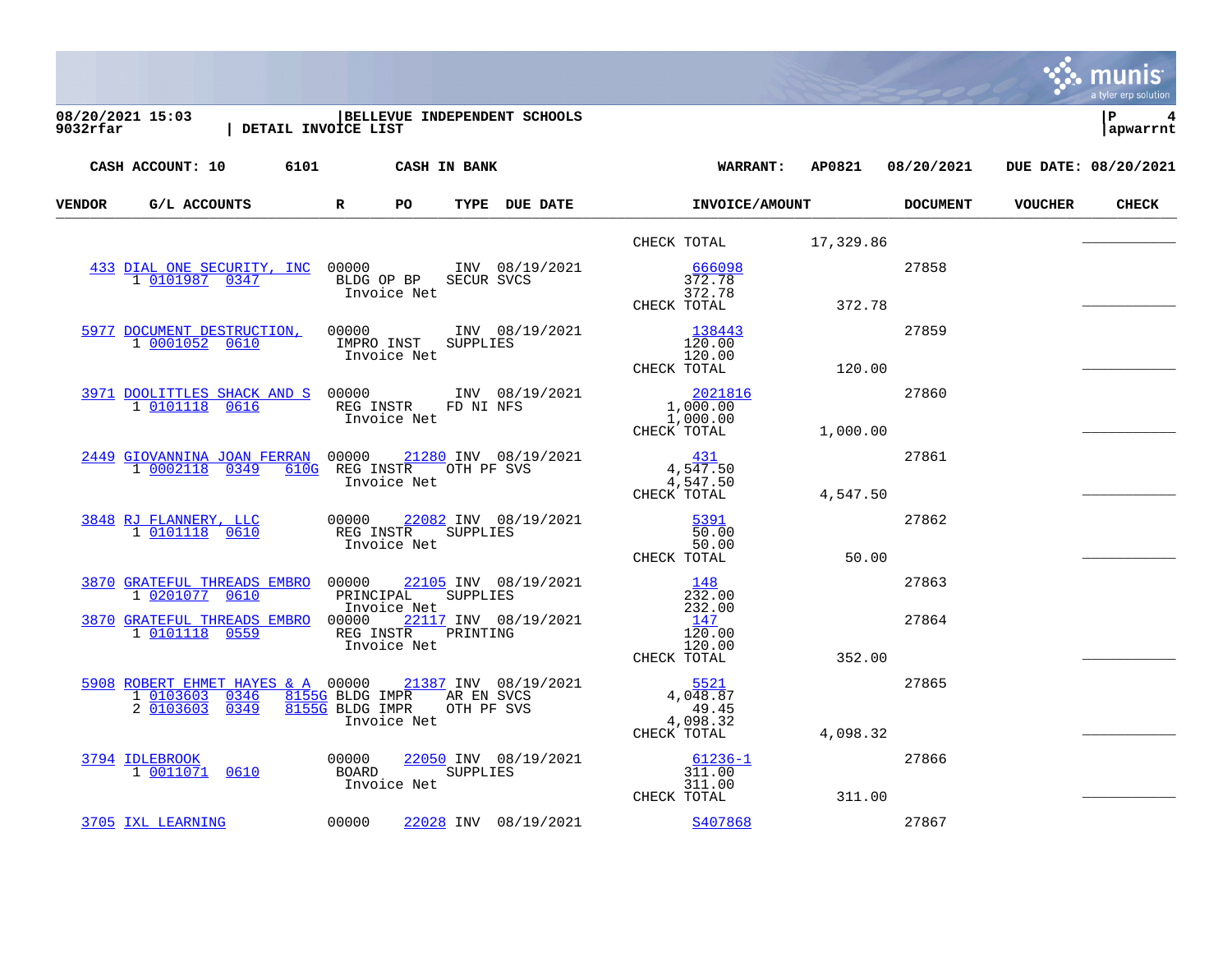|        |                                                                                                                                                        |              |                                           |                                                  |                                 |                                                   |          |                            |                | a tyler erp solution |
|--------|--------------------------------------------------------------------------------------------------------------------------------------------------------|--------------|-------------------------------------------|--------------------------------------------------|---------------------------------|---------------------------------------------------|----------|----------------------------|----------------|----------------------|
|        | 08/20/2021 15:03<br>9032rfar   DETATI TIT<br>  DETAIL INVOICE LIST                                                                                     |              |                                           | BELLEVUE INDEPENDENT SCHOOLS                     |                                 |                                                   |          |                            |                | l P<br>apwarrnt      |
|        | CASH ACCOUNT: 10 6101 CASH IN BANK                                                                                                                     |              |                                           |                                                  |                                 |                                                   |          | WARRANT: AP0821 08/20/2021 |                | DUE DATE: 08/20/2021 |
| VENDOR | G/L ACCOUNTS                                                                                                                                           | $\mathbb{R}$ | PO.                                       | TYPE DUE DATE                                    |                                 | <b>INVOICE/AMOUNT</b>                             |          | <b>DOCUMENT</b>            | <b>VOUCHER</b> | <b>CHECK</b>         |
|        |                                                                                                                                                        |              |                                           |                                                  |                                 | CHECK TOTAL 17,329.86                             |          |                            |                |                      |
|        | 433 DIAL ONE SECURITY, INC 00000 1NV 08/19/2021<br>1 0101987 0347                                                                                      |              | Invoice Net                               | BLDG OP BP SECUR SVCS                            | 372.78<br>CHECK TOTAL           | 666098<br>372.78                                  | 372.78   | 27858                      |                |                      |
|        | 5977 DOCUMENT DESTRUCTION,<br>1 0001052 0610                                                                                                           |              | Invoice Net                               | 00000 INV 08/19/2021<br>IMPRO INST SUPPLIES      | 120.00<br>CHECK TOTAL           | 138443<br>120.00                                  | 120.00   | 27859                      |                |                      |
|        | $\begin{tabular}{c cccccc}3971 & DODLTTLES SHACK AND S & 00000 & & & 1NV & 08/19/2021 \\ \hline 1 & 0101118 & 0616 & & & & & & \\\hline \end{tabular}$ |              | Invoice Net                               |                                                  | CHECK TOTAL                     | $\frac{2021816}{1,000.00}$<br>1,000.00            | 1,000.00 | 27860                      |                |                      |
|        | 2449 GIOVANNINA JOAN FERRAN 00000 21280 INV 08/19/2021<br>1 0002118 0349                                                                               |              | Invoice Net                               | 610G REG INSTROOTH PF SVS                        | CHECK TOTAL                     | 431<br>4,547.50<br>4,547.50                       | 4,547.50 | 27861                      |                |                      |
|        | 3848 RJ FLANNERY, LLC<br>1 0101118 0610                                                                                                                |              | Invoice Net                               | 00000 22082 INV 08/19/2021<br>REG INSTR SUPPLIES | $\frac{5391}{7}$<br>CHECK TOTAL | 50.00<br>50.00                                    | 50.00    | 27862                      |                |                      |
|        | 3870 GRATEFUL THREADS EMBRO 00000 22105 INV 08/19/2021<br>1 0201077 0610                                                                               |              |                                           | PRINCIPAL SUPPLIES<br>Thyoice Net                |                                 | 148<br>232.00                                     |          | 27863                      |                |                      |
|        | 3870 GRATEFUL THREADS EMBRO 00000 22117 INV 08/19/2021<br>1 0101118 0559 REG INSTR PRINTING                                                            |              | Invoice Net<br>Invoice Net                |                                                  | CHECK TOTAL                     | 232.00<br>147<br>120.00<br>120.00                 | 352.00   | 27864                      |                |                      |
|        | 5908 ROBERT EHMET HAYES & A 00000 21387 INV 08/19/2021<br>1 0103603 0346<br>2 0103603 0349                                                             |              | 8155G BLDG IMPR OTH PF SVS<br>Invoice Net | 8155G BLDG IMPR AR EN SVCS                       | 4,098.32                        | 5521<br>4,048.87<br>49.45<br>CHECK TOTAL 4,098.32 |          | 27865                      |                |                      |
|        | <u>3794 IDLEBROOK</u><br>1 0011071 0610                                                                                                                | 00000        | Invoice Net                               | 22050 INV 08/19/2021<br>BOARD SUPPLIES           | CHECK TOTAL                     | $61236 - 1$<br>311.00<br>311.00                   | 311.00   | 27866                      |                |                      |
|        | 3705 IXL LEARNING                                                                                                                                      | 00000        |                                           | 22028 INV 08/19/2021                             |                                 | S407868                                           |          | 27867                      |                |                      |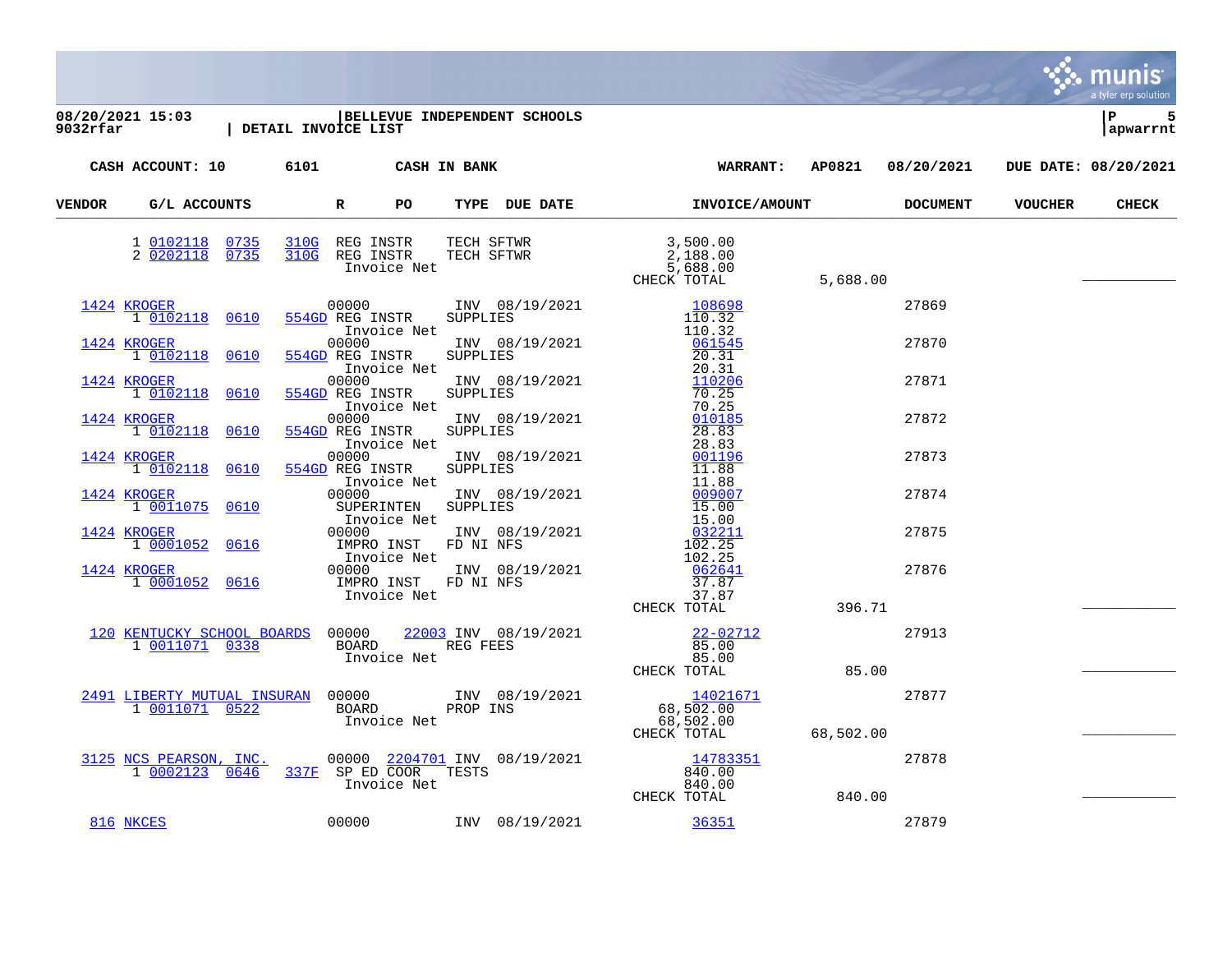**08/20/2021 15:03 |BELLEVUE INDEPENDENT SCHOOLS |P 5 9032rfar | DETAIL INVOICE LIST |apwarrnt CASH ACCOUNT: 10 6101 CASH IN BANK WARRANT: AP0821 08/20/2021 DUE DATE: 08/20/2021 VENDOR G/L ACCOUNTS R PO TYPE DUE DATE INVOICE/AMOUNT DOCUMENT VOUCHER CHECK** VERIDOR G/L ACCOONIS RELATION RELATION IN THE LOB DATE INVOLVER AROUNI 1 [0102118](https://yvwlndash063.tylertech.com/sites/mu9032/Live/_layouts/15/DashboardMunisV6.3/PassThru.aspx?-E=xr%2BIJbUSWoGNBpKVtqQkhIFEOKWFS7o5M1TigYGz9%2B9VW8WlxASpRkcMgjxq5OAFSFpgTkNkezWyj86owCSMcQ==&) [0735](https://yvwlndash063.tylertech.com/sites/mu9032/Live/_layouts/15/DashboardMunisV6.3/PassThru.aspx?-E=xr%2BIJbUSWoGNBpKVtqQkhIFEOKWFS7o5M1TigYGz9%2B9VW8WlxASpRkcMgjxq5OAFSFpgTkNkezWyj86owCSMcQ==&) [310G](https://yvwlndash063.tylertech.com/sites/mu9032/Live/_layouts/15/DashboardMunisV6.3/PassThru.aspx?-E=xr%2BIJbUSWoGNBpKVtqQkhIFEOKWFS7o5M1TigYGz9%2B9VW8WlxASpRkcMgjxq5OAFSFpgTkNkezWyj86owCSMcQ==&) REG INSTR TECH SFTWR 3,500.00 2 [0202118](https://yvwlndash063.tylertech.com/sites/mu9032/Live/_layouts/15/DashboardMunisV6.3/PassThru.aspx?-E=b1HDTYbIUwtZdyKvBDN9LIF0OX3g2drD4VJdh%2BQAUqufWaVnmEVbRBRjdSkBw%2BqeCG/bA1JkHiAD5fBc1F9AOg==&) [0735](https://yvwlndash063.tylertech.com/sites/mu9032/Live/_layouts/15/DashboardMunisV6.3/PassThru.aspx?-E=b1HDTYbIUwtZdyKvBDN9LIF0OX3g2drD4VJdh%2BQAUqufWaVnmEVbRBRjdSkBw%2BqeCG/bA1JkHiAD5fBc1F9AOg==&) [310G](https://yvwlndash063.tylertech.com/sites/mu9032/Live/_layouts/15/DashboardMunisV6.3/PassThru.aspx?-E=b1HDTYbIUwtZdyKvBDN9LIF0OX3g2drD4VJdh%2BQAUqufWaVnmEVbRBRjdSkBw%2BqeCG/bA1JkHiAD5fBc1F9AOg==&) REG INSTR TECH SFTWR 2,188.00 REG INSTR TECH SFTWR 3,500.00<br>
REG INSTR TECH SFTWR 2,188.00<br>
Invoice Net 5,688.00<br>
CHECK TOTAL THVOICE NEC CHECK TOTAL 5,688.00  $\overline{1424}$  $\overline{1424}$  $\overline{1424}$  [KROGER](https://yvwlndash063.tylertech.com/sites/mu9032/Live/_layouts/15/DashboardMunisV6.3/PassThru.aspx?-E=o0UQhHYuFZii87S5K2QyjPBM6OUN8UWQ9Pq6LeukfTNNRezydbTd%2BDRclkxvsLWL&)  $\overline{27869}$   $\overline{00000}$  INV  $08/19/2021$   $\overline{108698}$  $\overline{108698}$  $\overline{108698}$   $\overline{27869}$   $\overline{27869}$  1 [0102118](https://yvwlndash063.tylertech.com/sites/mu9032/Live/_layouts/15/DashboardMunisV6.3/PassThru.aspx?-E=0lcUbqxO860nqQRGlqt2dXDVdI/y8Tbv/%2BAoB%2B2zHIbfVfZMQrmVPi23m2MXuLgg3icgoMSpuO1y1tPbTM1Lvg==&) [0610](https://yvwlndash063.tylertech.com/sites/mu9032/Live/_layouts/15/DashboardMunisV6.3/PassThru.aspx?-E=0lcUbqxO860nqQRGlqt2dXDVdI/y8Tbv/%2BAoB%2B2zHIbfVfZMQrmVPi23m2MXuLgg3icgoMSpuO1y1tPbTM1Lvg==&) [554GD](https://yvwlndash063.tylertech.com/sites/mu9032/Live/_layouts/15/DashboardMunisV6.3/PassThru.aspx?-E=0lcUbqxO860nqQRGlqt2dXDVdI/y8Tbv/%2BAoB%2B2zHIbfVfZMQrmVPi23m2MXuLgg3icgoMSpuO1y1tPbTM1Lvg==&) REG INSTR SUPPLIES 110.32  $\begin{array}{cccc}\n & & & & & & 110.32 \\
 & & 00000 & & & & & 1N & 08/19/2021 & & & & 061545\n\end{array}$  $\begin{array}{cccccccccc} \texttt{1424} & \texttt{KROGER} & \texttt{00000} & \texttt{INV} & \texttt{08/19/2021} & \texttt{061545} & \texttt{061545} & \texttt{27870} \\ \texttt{1} & \texttt{0102118} & \texttt{0610} & \texttt{554GD} & \texttt{REG} & \texttt{INSTR} & \texttt{SUPPLIES} & \texttt{20.31} & \texttt{061545} & \texttt{061545} & \texttt{061545} & \texttt{061545} &$  $\begin{array}{cccccccccc} \texttt{1424} & \texttt{KROGER} & \texttt{00000} & \texttt{INV} & \texttt{08/19/2021} & \texttt{061545} & \texttt{061545} & \texttt{27870} \\ \texttt{1} & \texttt{0102118} & \texttt{0610} & \texttt{554GD} & \texttt{REG} & \texttt{INSTR} & \texttt{SUPPLIES} & \texttt{20.31} & \texttt{061545} & \texttt{061545} & \texttt{061545} & \texttt{061545} &$  $\begin{array}{cccccccccc} \texttt{1424} & \texttt{KROGER} & \texttt{00000} & \texttt{INV} & \texttt{08/19/2021} & \texttt{061545} & \texttt{061545} & \texttt{27870} \\ \texttt{1} & \texttt{0102118} & \texttt{0610} & \texttt{554GD} & \texttt{REG} & \texttt{INSTR} & \texttt{SUPPLIES} & \texttt{20.31} & \texttt{061545} & \texttt{061545} & \texttt{061545} & \texttt{061545} &$  $\begin{array}{cccccccccc} \texttt{1424} & \texttt{KROGER} & \texttt{00000} & \texttt{INV} & \texttt{08/19/2021} & \texttt{061545} & \texttt{061545} & \texttt{27870} \\ \texttt{1} & \texttt{0102118} & \texttt{0610} & \texttt{554GD} & \texttt{REG} & \texttt{INSTR} & \texttt{SUPPLIES} & \texttt{20.31} & \texttt{061545} & \texttt{061545} & \texttt{061545} & \texttt{061545} &$  $\begin{array}{cccccccccc} \texttt{1424} & \texttt{KROGER} & \texttt{00000} & \texttt{INV} & \texttt{08/19/2021} & \texttt{061545} & \texttt{061545} & \texttt{27870} \\ \texttt{1} & \texttt{0102118} & \texttt{0610} & \texttt{554GD} & \texttt{REG} & \texttt{INSTR} & \texttt{SUPPLIES} & \texttt{20.31} & \texttt{061545} & \texttt{061545} & \texttt{061545} & \texttt{061545} &$  $\begin{array}{cccccccccc} \texttt{1424} & \texttt{KROGER} & \texttt{00000} & \texttt{INV} & \texttt{08/19/2021} & \texttt{061545} & \texttt{061545} & \texttt{27870} \\ \texttt{1} & \texttt{0102118} & \texttt{0610} & \texttt{554GD} & \texttt{REG} & \texttt{INSTR} & \texttt{SUPPLIES} & \texttt{20.31} & \texttt{061545} & \texttt{061545} & \texttt{061545} & \texttt{061545} &$  $\begin{array}{cccccccccc} \texttt{1424} & \texttt{KROGER} & \texttt{00000} & \texttt{INV} & \texttt{08/19/2021} & \texttt{061545} & \texttt{061545} & \texttt{27870} \\ \texttt{1} & \texttt{0102118} & \texttt{0610} & \texttt{554GD} & \texttt{REG} & \texttt{INSTR} & \texttt{SUPPLIES} & \texttt{20.31} & \texttt{061545} & \texttt{061545} & \texttt{061545} & \texttt{061545} &$ 1 1 0103 [554GD](https://yvwlndash063.tylertech.com/sites/mu9032/Live/_layouts/15/DashboardMunisV6.3/PassThru.aspx?-E=XVmQtnlx8aCWoilv8dvaAvfN5TGe6t%2B3zrK9%2BsHCQUp5JVCj5SwG3PGUBoCnW3gUD0goswCSSyy8ISZ0t7FyTw==&) REG INSTR SUPPLIES 20.31 Invoice Net 1NV 08/19/2021 20.31 [1424](https://yvwlndash063.tylertech.com/sites/mu9032/Live/_layouts/15/DashboardMunisV6.3/PassThru.aspx?-E=O78W2uXg85OxmnPIPiHrD%2BdVR2XbfjmKpMCiM1lXVp2e9c0AKQd4CIdg9Qzg5CW8&) [KROGER](https://yvwlndash063.tylertech.com/sites/mu9032/Live/_layouts/15/DashboardMunisV6.3/PassThru.aspx?-E=O78W2uXg85OxmnPIPiHrD%2BdVR2XbfjmKpMCiM1lXVp2e9c0AKQd4CIdg9Qzg5CW8&) 10102118 0610 554GD REG INSTR SUPPLIES 10.25 1 [0102118](https://yvwlndash063.tylertech.com/sites/mu9032/Live/_layouts/15/DashboardMunisV6.3/PassThru.aspx?-E=lsxOtq21TSlvYP%2Bhp4Re4mRO9K9GM8jutI0e4Al3uJjznt78z/bGGMgRB1OjG36sz3RDO4LhIauU0sq32qeopw==&) [0610](https://yvwlndash063.tylertech.com/sites/mu9032/Live/_layouts/15/DashboardMunisV6.3/PassThru.aspx?-E=lsxOtq21TSlvYP%2Bhp4Re4mRO9K9GM8jutI0e4Al3uJjznt78z/bGGMgRB1OjG36sz3RDO4LhIauU0sq32qeopw==&) [554GD](https://yvwlndash063.tylertech.com/sites/mu9032/Live/_layouts/15/DashboardMunisV6.3/PassThru.aspx?-E=lsxOtq21TSlvYP%2Bhp4Re4mRO9K9GM8jutI0e4Al3uJjznt78z/bGGMgRB1OjG36sz3RDO4LhIauU0sq32qeopw==&) REG INSTR SUPPLIES 70.25 Invoice Net 1NV 08/19/2021 70.25 [1424](https://yvwlndash063.tylertech.com/sites/mu9032/Live/_layouts/15/DashboardMunisV6.3/PassThru.aspx?-E=uHVpONS/vGb6HiUoZugtHjrddCszH25znFgKXyDBPpzg3e1TvBjoGqgONBHK72Iz&) [KROGER](https://yvwlndash063.tylertech.com/sites/mu9032/Live/_layouts/15/DashboardMunisV6.3/PassThru.aspx?-E=uHVpONS/vGb6HiUoZugtHjrddCszH25znFgKXyDBPpzg3e1TvBjoGqgONBHK72Iz&) 00000 INV 08/19/2021 [010185](https://yvwlndash063.tylertech.com/sites/mu9032/Live/_layouts/15/DashboardMunisV6.3/PassThru.aspx?-E=TUQoLAcMr/b4oMo8Tmdj3LA57IOI4Gw%2BxrF23E1BlaWx%2B43tAWkt8wzjRXhvhXtVv8ys6Nk5uD%2BQoQ2JnL%2B/Tw==&) 27872 1 [0102118](https://yvwlndash063.tylertech.com/sites/mu9032/Live/_layouts/15/DashboardMunisV6.3/PassThru.aspx?-E=NMG43%2BX0Ebfrft3KYnXa5wSM2scMcdjNMALgIv6Vr/GJYsGP31SR2oCiteGJ94PqjTL52guhqpqSt6roY2xsPA==&) [0610](https://yvwlndash063.tylertech.com/sites/mu9032/Live/_layouts/15/DashboardMunisV6.3/PassThru.aspx?-E=NMG43%2BX0Ebfrft3KYnXa5wSM2scMcdjNMALgIv6Vr/GJYsGP31SR2oCiteGJ94PqjTL52guhqpqSt6roY2xsPA==&) [554GD](https://yvwlndash063.tylertech.com/sites/mu9032/Live/_layouts/15/DashboardMunisV6.3/PassThru.aspx?-E=NMG43%2BX0Ebfrft3KYnXa5wSM2scMcdjNMALgIv6Vr/GJYsGP31SR2oCiteGJ94PqjTL52guhqpqSt6roY2xsPA==&) REG INSTR SUPPLIES 28.83 Invoice Net 28.83 [1424](https://yvwlndash063.tylertech.com/sites/mu9032/Live/_layouts/15/DashboardMunisV6.3/PassThru.aspx?-E=UbQxfSsOfXbu66M/HMwq55ofDJw6imhWGxknVlkhRdA6A2iKu0LojOLL2F5o0FIM&) [KROGER](https://yvwlndash063.tylertech.com/sites/mu9032/Live/_layouts/15/DashboardMunisV6.3/PassThru.aspx?-E=UbQxfSsOfXbu66M/HMwq55ofDJw6imhWGxknVlkhRdA6A2iKu0LojOLL2F5o0FIM&) 10102118 0610 554GD REG INSTR SUPPLIES 11.88 [554GD](https://yvwlndash063.tylertech.com/sites/mu9032/Live/_layouts/15/DashboardMunisV6.3/PassThru.aspx?-E=rFLFQcH0akhl0mNEsKe81ip3gdlcvcw8YhZZ9KIRJHiKE5DROsQNPOIOmz4E0XHGcNZCT4whITGfLdtZEHA3vA==&) REG INSTR SUPPLIES 11.88<br>Invoice Net 11.88 Invoice Net 11.88<br>00000 1NV 08/19/2021 009007  $\overline{1424}$  $\overline{1424}$  $\overline{1424}$  [KROGER](https://yvwlndash063.tylertech.com/sites/mu9032/Live/_layouts/15/DashboardMunisV6.3/PassThru.aspx?-E=d4k/DMpRW3zT42LJOshWG3urslsqdcvmk/XI8gTpTjvcgZ8ZX9AW0%2B9zlmCE5P3V&)  $\overline{27874}$   $00000$  INV  $08/19/2021$   $009007$   $009007$   $27874$  1 [0011075](https://yvwlndash063.tylertech.com/sites/mu9032/Live/_layouts/15/DashboardMunisV6.3/PassThru.aspx?-E=XCaYKdjre4q88wWDE5SHZPTLDNghe2xfxLR20HLYynEIJqY3OoCHxuvRqpDBjrX9&) [0610](https://yvwlndash063.tylertech.com/sites/mu9032/Live/_layouts/15/DashboardMunisV6.3/PassThru.aspx?-E=XCaYKdjre4q88wWDE5SHZPTLDNghe2xfxLR20HLYynEIJqY3OoCHxuvRqpDBjrX9&) SUPERINTEN SUPPLIES 15.00 Invoice Net 15.00<br>00000 1NV 08/19/2021 032211  $\frac{1424}{10001052}$  $\frac{1424}{10001052}$  $\frac{1424}{10001052}$   $\frac{\text{KROGER}}{0616}$  $\frac{\text{KROGER}}{0616}$  $\frac{\text{KROGER}}{0616}$  00000 INV 08/19/2021  $\frac{032211}{102.25}$  $\frac{032211}{102.25}$  $\frac{032211}{102.25}$  27875 1 102.25<br>
1 102.25<br>
102.25 Invoice Net 102.25<br>00000 1NV 08/19/2021 062641 [1424](https://yvwlndash063.tylertech.com/sites/mu9032/Live/_layouts/15/DashboardMunisV6.3/PassThru.aspx?-E=uTTQA1FQ5RbJPrVKT1i%2B5oHmadciUvUvPOUq8IIf31V3FADqh5/2/gqo6mSmQyDH&) [KROGER](https://yvwlndash063.tylertech.com/sites/mu9032/Live/_layouts/15/DashboardMunisV6.3/PassThru.aspx?-E=uTTQA1FQ5RbJPrVKT1i%2B5oHmadciUvUvPOUq8IIf31V3FADqh5/2/gqo6mSmQyDH&) 00000 INV 08/19/2021 [062641](https://yvwlndash063.tylertech.com/sites/mu9032/Live/_layouts/15/DashboardMunisV6.3/PassThru.aspx?-E=OaxuBZB4DTP3qdDwd4if0JTMruXPBK5b1l3xuBJwCO6Lr2GpAVWyCMcyb7yiuqk73kVX4z2pWSFoCTxaSP8JTw==&) 27876<br>1 0001052 0616 IMPRO INST FD NI NFS 37.87 1 [0001052](https://yvwlndash063.tylertech.com/sites/mu9032/Live/_layouts/15/DashboardMunisV6.3/PassThru.aspx?-E=gZiZ6Bb90Vo6mdLphywUTigFIsDZa18Dr5P9qA%2B%2BELR74yuEm7r41HPtTD82gq98&) [0616](https://yvwlndash063.tylertech.com/sites/mu9032/Live/_layouts/15/DashboardMunisV6.3/PassThru.aspx?-E=gZiZ6Bb90Vo6mdLphywUTigFIsDZa18Dr5P9qA%2B%2BELR74yuEm7r41HPtTD82gq98&) IMPRO INST FD NI NFS 37.87 Invoice Net 37.87<br>CHECK TOTAL THROLUCE NUCLEAR CHECK TOTAL 396.71 [120](https://yvwlndash063.tylertech.com/sites/mu9032/Live/_layouts/15/DashboardMunisV6.3/PassThru.aspx?-E=ZVrdfbEhdP6fyRi7NnMc5TTIGf/0frhik8Owl%2Ban1g60sPh6y15lf4DTMzCL3Qow&) [KENTUCKY SCHOOL BOARDS](https://yvwlndash063.tylertech.com/sites/mu9032/Live/_layouts/15/DashboardMunisV6.3/PassThru.aspx?-E=ZVrdfbEhdP6fyRi7NnMc5TTIGf/0frhik8Owl%2Ban1g60sPh6y15lf4DTMzCL3Qow&) 00000 [22003](https://yvwlndash063.tylertech.com/sites/mu9032/Live/_layouts/15/DashboardMunisV6.3/PassThru.aspx?-E=/nH50S279Haq0ZwcExZvVAPT7mtRDzNggr3EEJ0Q9XubK3mDflWZ4htFDwRrmgtO&) INV 08/19/2021 [22-02712](https://yvwlndash063.tylertech.com/sites/mu9032/Live/_layouts/15/DashboardMunisV6.3/PassThru.aspx?-E=tQfGlVv9VPAf2/isPWGGWEdsvI8QEY79YtgO5xNTmqC/txYjmgzCnV4d/BnkcKz5hagOKoUD23jsqFW2IP3WVQ==&) 27913 1 [0011071](https://yvwlndash063.tylertech.com/sites/mu9032/Live/_layouts/15/DashboardMunisV6.3/PassThru.aspx?-E=mxUl%2Bun4fstOUlYRbJ3xkjPhr0jdJnhyBRxGKRNTjKbYWrZwllwXMHd17gTHkjsE&) [0338](https://yvwlndash063.tylertech.com/sites/mu9032/Live/_layouts/15/DashboardMunisV6.3/PassThru.aspx?-E=mxUl%2Bun4fstOUlYRbJ3xkjPhr0jdJnhyBRxGKRNTjKbYWrZwllwXMHd17gTHkjsE&) BOARD REG FEES 85.00 Invoice Net and a set of the set of the set of the set of the set of the set of the set of the set of the set o<br>CHECK TOTAL THVOLCE NECHAL CHECK TOTAL 85.00 <u>[2491](https://yvwlndash063.tylertech.com/sites/mu9032/Live/_layouts/15/DashboardMunisV6.3/PassThru.aspx?-E=4P5si93DPcIk9oV9G%2BUYoygWOc5Yb5/ztPagBkDedYMnm7o6qyi4PtyoktxD7cyC&) [LIBERTY MUTUAL INSURAN](https://yvwlndash063.tylertech.com/sites/mu9032/Live/_layouts/15/DashboardMunisV6.3/PassThru.aspx?-E=4P5si93DPcIk9oV9G%2BUYoygWOc5Yb5/ztPagBkDedYMnm7o6qyi4PtyoktxD7cyC&)</u> 00000 INV 08/19/2021 [14021671](https://yvwlndash063.tylertech.com/sites/mu9032/Live/_layouts/15/DashboardMunisV6.3/PassThru.aspx?-E=LZhDdaNKMfZ0b96bKhCat5DY6Hri/9qYkqjVklPEmyzXx4mB7cmLTk5udc5W8UpTCJLCr/aAbXGxxihMCRf8vw==&) 27877 1 [0011071](https://yvwlndash063.tylertech.com/sites/mu9032/Live/_layouts/15/DashboardMunisV6.3/PassThru.aspx?-E=kqAGt0kEogeqTph4sM1QcWfyS6ykObX%2BaguYV5tTRJjfaztVAKko6buXqte4Y4Qf&) [0522](https://yvwlndash063.tylertech.com/sites/mu9032/Live/_layouts/15/DashboardMunisV6.3/PassThru.aspx?-E=kqAGt0kEogeqTph4sM1QcWfyS6ykObX%2BaguYV5tTRJjfaztVAKko6buXqte4Y4Qf&) BOARD PROP INS 68,502.00 BOARD PROP INS 68,502.00<br>
Invoice Net 68,502.00<br>
CHECK TOTAL  $68,502.00$  $\frac{3125}{10002123}$  $\frac{3125}{10002123}$  $\frac{3125}{10002123}$  [NCS PEARSON, INC.](https://yvwlndash063.tylertech.com/sites/mu9032/Live/_layouts/15/DashboardMunisV6.3/PassThru.aspx?-E=K0sIIvIQ81Uw14FuSF67AW/t7J2lnQ5/jz/QvfOs1g/1iNJ5dt2YM7mO8nkN8M7P&)<br>  $\frac{3125}{10002123}$  0646 337F SP ED COOR TESTS 840.00 1 [0002123](https://yvwlndash063.tylertech.com/sites/mu9032/Live/_layouts/15/DashboardMunisV6.3/PassThru.aspx?-E=a8ZjwcajJ/i2H9Z1KLVQbKnO4Eo/1s1I3YGwuHMXPySrKLzNNMTeiSq6Qvb0iwJfryflciLVLGcxIjiDoESzTg==&) [0646](https://yvwlndash063.tylertech.com/sites/mu9032/Live/_layouts/15/DashboardMunisV6.3/PassThru.aspx?-E=a8ZjwcajJ/i2H9Z1KLVQbKnO4Eo/1s1I3YGwuHMXPySrKLzNNMTeiSq6Qvb0iwJfryflciLVLGcxIjiDoESzTg==&) [337F](https://yvwlndash063.tylertech.com/sites/mu9032/Live/_layouts/15/DashboardMunisV6.3/PassThru.aspx?-E=a8ZjwcajJ/i2H9Z1KLVQbKnO4Eo/1s1I3YGwuHMXPySrKLzNNMTeiSq6Qvb0iwJfryflciLVLGcxIjiDoESzTg==&) SP ED COOR TESTS 840.00 Invoice Net 840.00<br>CHECK TOTAL THVOLCE NECHAL CHECK TOTAL 840.00 [816](https://yvwlndash063.tylertech.com/sites/mu9032/Live/_layouts/15/DashboardMunisV6.3/PassThru.aspx?-E=0ve%2BHJPi/NkVNywXSp8Do3kHP/QLL2RrnUkO9Uj9TGSMV28JmVGBKXkLU/aMjRmm&) [NKCES](https://yvwlndash063.tylertech.com/sites/mu9032/Live/_layouts/15/DashboardMunisV6.3/PassThru.aspx?-E=0ve%2BHJPi/NkVNywXSp8Do3kHP/QLL2RrnUkO9Uj9TGSMV28JmVGBKXkLU/aMjRmm&) 00000 INV 08/19/2021 [36351](https://yvwlndash063.tylertech.com/sites/mu9032/Live/_layouts/15/DashboardMunisV6.3/PassThru.aspx?-E=VgeQekfJ20fWdWV4q47PEvI1gQ5ZNxO//5QAZG02Drh2uJWuhxKWdud/7vLaBfEPai3yn2Loe62yssP/YFWHqQ==&) 27879

munis tyler erp solution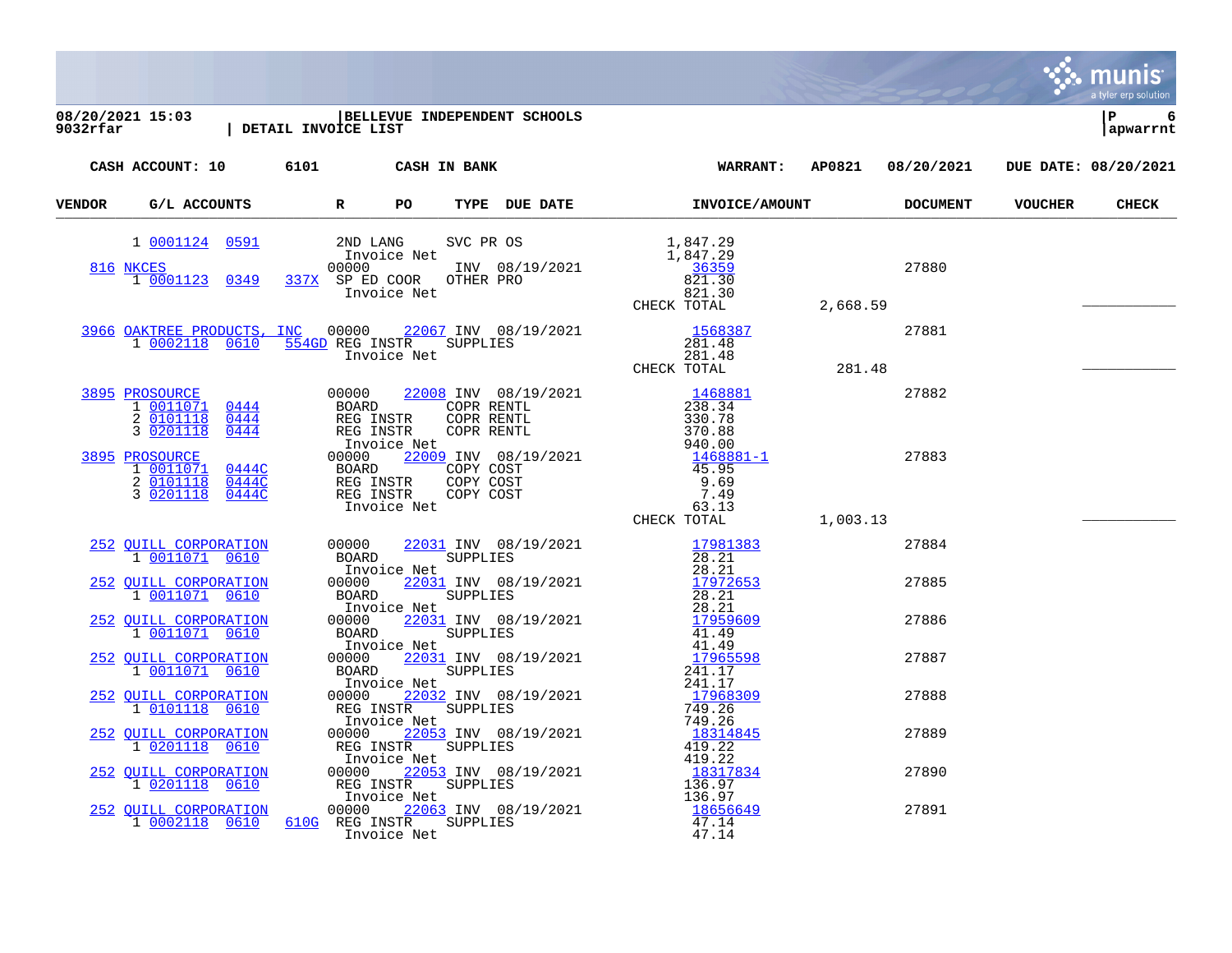|        | $\begin{array}{c c c c} 08/20/2021 & 15:03 & \text{ BELLEVU } \\ 9032rfar & & \text{  DETAIL INVOICE LIST} \end{array}$ |                         |             | BELLEVUE INDEPENDENT SCHOOLS |                                                                                                                                                                                                                                                                |       |                | l P<br>6<br>apwarrnt |
|--------|-------------------------------------------------------------------------------------------------------------------------|-------------------------|-------------|------------------------------|----------------------------------------------------------------------------------------------------------------------------------------------------------------------------------------------------------------------------------------------------------------|-------|----------------|----------------------|
|        | CASH ACCOUNT: 10 6101 CASH IN BANK                                                                                      |                         |             |                              | WARRANT: AP0821 08/20/2021 DUE DATE: 08/20/2021                                                                                                                                                                                                                |       |                |                      |
| VENDOR | G/L ACCOUNTS R                                                                                                          |                         | PO          |                              | TYPE DUE DATE <b>INVOICE/AMOUNT</b> DOCUMENT                                                                                                                                                                                                                   |       | <b>VOUCHER</b> | <b>CHECK</b>         |
|        | 1 0001124 0591 2ND LANG<br>816 NKCES<br>1 0001123 0349                                                                  |                         |             |                              | 2ND LANG SVC PR OS<br>Invoice Net<br>00000 1NV 08/19/2021<br>337X SP ED COOR OTHER PRO<br>1,847.29<br>36359<br>337X SP ED COOR OTHER PRO<br>2,668.59<br>2,668.59                                                                                               | 27880 |                |                      |
|        |                                                                                                                         |                         |             |                              | 3966 OAKTREE PRODUCTS, INC 00000 22067 INV 08/19/2021 1568387<br>10002118 0610 554GD REG INSTR SUPPLIES<br>Invoice Net 281.48<br>Throice Net CHECK TOTAL 281.48                                                                                                | 27881 |                |                      |
|        | 3895 PROSOURCE<br>1 0011071 0444<br>2 0101118 0444<br>3 0201118<br>0444                                                 | REG INSTR               |             |                              |                                                                                                                                                                                                                                                                | 27882 |                |                      |
|        | 3895 PROSOURCE<br>1 0011071 0444C<br>0444C<br>2 0101118<br>3 0201118<br>0444C                                           | 00000 44                |             |                              |                                                                                                                                                                                                                                                                | 27883 |                |                      |
|        | 252 OUILL CORPORATION<br>1 0011071 0610                                                                                 |                         |             |                              | CHECK TOTAL<br>BOARD<br>BOARD<br>INV 08/19/2021<br>28.21<br>00000 22031 INV 08/19/2021<br>BOARD<br>BOARD<br>END SUPPLIES<br>28.21<br>100000 22031 INV 08/19/2021<br>28.21<br>00000 22031 INV 08/19/2021<br>01000 22031 INV 08/19/2021<br>29.52659<br>29.21<br> | 27884 |                |                      |
|        | 252 OUILL CORPORATION<br>1 0011071 0610                                                                                 |                         |             |                              |                                                                                                                                                                                                                                                                | 27885 |                |                      |
|        | 252 QUILL CORPORATION<br>1 0011071 0610                                                                                 |                         |             |                              |                                                                                                                                                                                                                                                                | 27886 |                |                      |
|        | 252 QUILL CORPORATION<br>1 0011071 0610                                                                                 |                         |             |                              |                                                                                                                                                                                                                                                                | 27887 |                |                      |
|        | 252 QUILL CORPORATION<br>1 0101118 0610                                                                                 |                         |             |                              |                                                                                                                                                                                                                                                                | 27888 |                |                      |
|        | 252 QUILL CORPORATION<br>1 0201118 0610                                                                                 |                         |             |                              |                                                                                                                                                                                                                                                                | 27889 |                |                      |
|        | 252 QUILL CORPORATION<br>1 0201118 0610                                                                                 |                         |             |                              |                                                                                                                                                                                                                                                                | 27890 |                |                      |
|        | 252 QUILL CORPORATION<br>1 0002118 0610                                                                                 | 610G REG INSTR SUPPLIES | Invoice Net |                              | 47.14<br>47.14                                                                                                                                                                                                                                                 | 27891 |                |                      |

**Execution**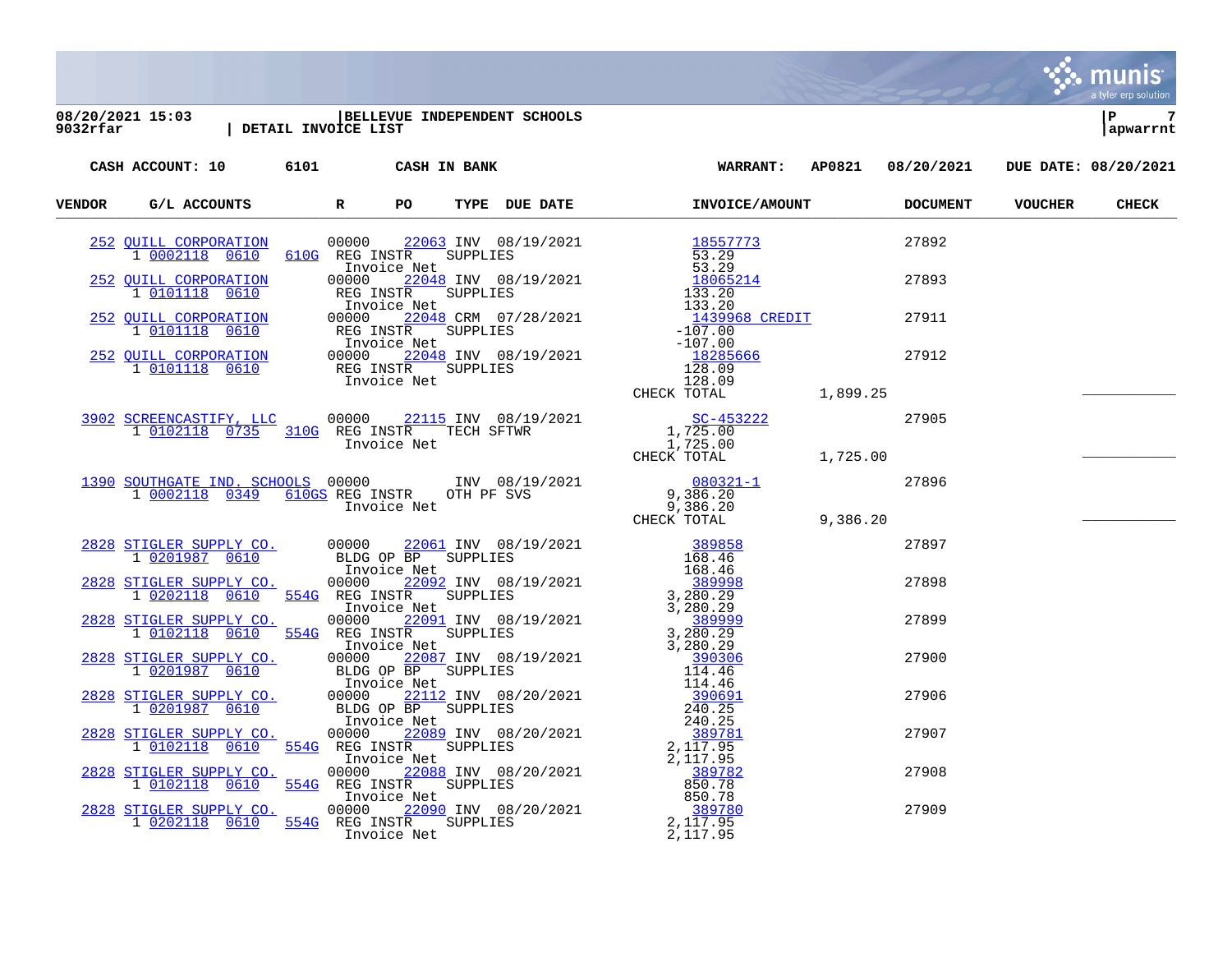

[2828](https://yvwlndash063.tylertech.com/sites/mu9032/Live/_layouts/15/DashboardMunisV6.3/PassThru.aspx?-E=xRaPFGxhE4UoqJtRofNY59eS8pfyAb4sqybpIH/AJ1OFz6fWqBNiYIl9l88U8oXj&) [STIGLER SUPPLY CO.](https://yvwlndash063.tylertech.com/sites/mu9032/Live/_layouts/15/DashboardMunisV6.3/PassThru.aspx?-E=xRaPFGxhE4UoqJtRofNY59eS8pfyAb4sqybpIH/AJ1OFz6fWqBNiYIl9l88U8oXj&) 00000 [22090](https://yvwlndash063.tylertech.com/sites/mu9032/Live/_layouts/15/DashboardMunisV6.3/PassThru.aspx?-E=1kccp4BKFcDuG0WlYJZC0DVu4v6H0KTDYtppRg4eMKbw7EQJV2SzKoICJpVX2qCh&) INV 08/20/2021 [389780](https://yvwlndash063.tylertech.com/sites/mu9032/Live/_layouts/15/DashboardMunisV6.3/PassThru.aspx?-E=CDpbNm%2B80oj%2B8rWd6zVL57XhTBbNKaToHNR1xN3707r1c72TQRbEVq1b%2BWMHx1gzHa/0P0X9McVpNTCg7WaWSw==&) 389780 27909<br>1 0202118 0610 554G REG INSTR SUPPLIES 2,117.95 1 [0202118](https://yvwlndash063.tylertech.com/sites/mu9032/Live/_layouts/15/DashboardMunisV6.3/PassThru.aspx?-E=adplQSEV98thfT6TjI5pUUJ1upBbD1r4ZJEDbwa1YPcZmqcGKVe4RPfkKVNnEgCMdfVmPJRCuowXAFhni8Li9w==&) [0610](https://yvwlndash063.tylertech.com/sites/mu9032/Live/_layouts/15/DashboardMunisV6.3/PassThru.aspx?-E=adplQSEV98thfT6TjI5pUUJ1upBbD1r4ZJEDbwa1YPcZmqcGKVe4RPfkKVNnEgCMdfVmPJRCuowXAFhni8Li9w==&) [554G](https://yvwlndash063.tylertech.com/sites/mu9032/Live/_layouts/15/DashboardMunisV6.3/PassThru.aspx?-E=adplQSEV98thfT6TjI5pUUJ1upBbD1r4ZJEDbwa1YPcZmqcGKVe4RPfkKVNnEgCMdfVmPJRCuowXAFhni8Li9w==&) REG INSTR SUPPLIES 2,117.95<br>Thyoice Net 2,117.95 Invoice Net

a tyler erp solutior

munis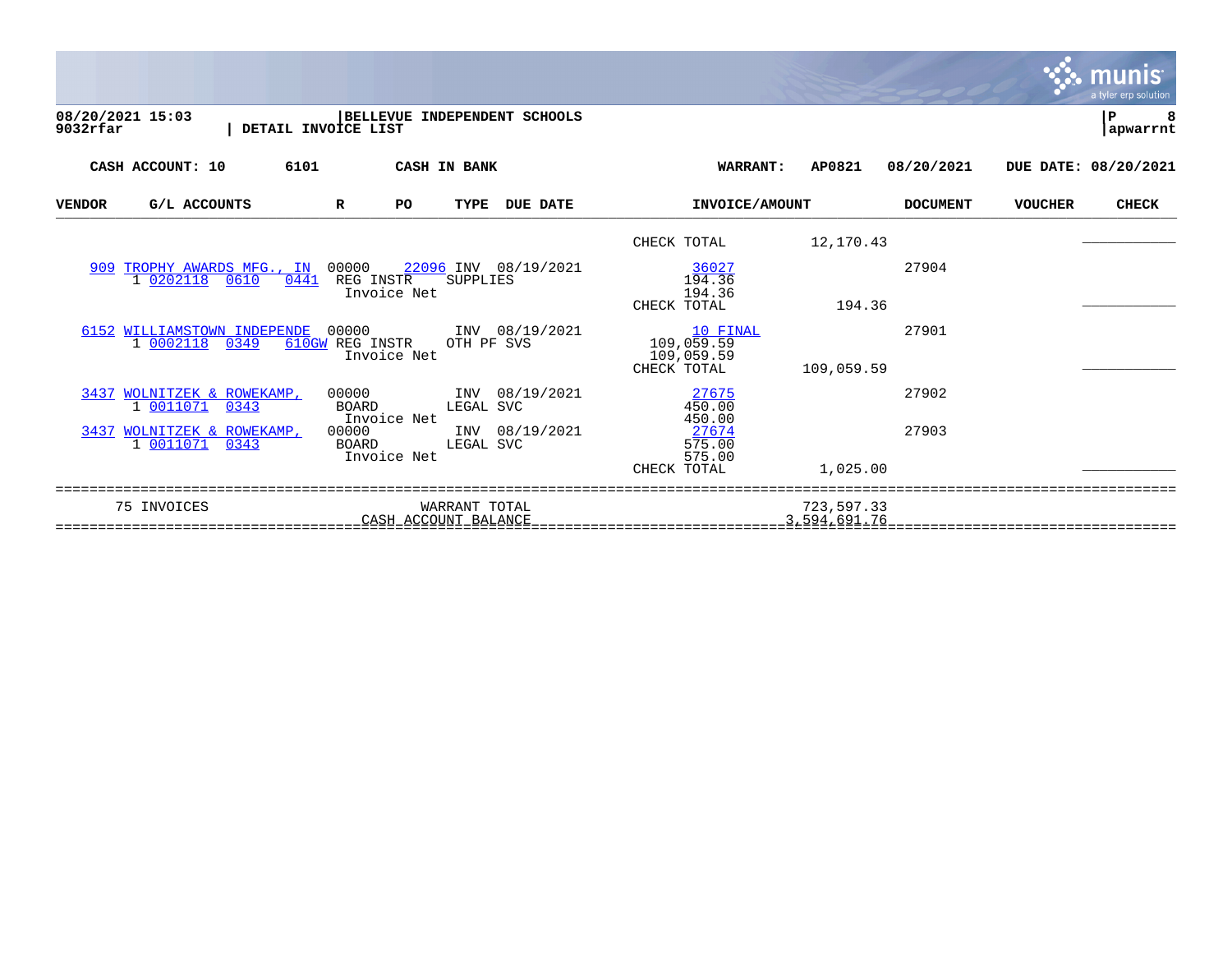|                                                         |                                                                                    |                                                     |                            |                 |                | a tyler erp solution |
|---------------------------------------------------------|------------------------------------------------------------------------------------|-----------------------------------------------------|----------------------------|-----------------|----------------|----------------------|
| 08/20/2021 15:03<br>$9032$ rfar<br>DETAIL INVOICE LIST  | BELLEVUE<br>INDEPENDENT SCHOOLS                                                    |                                                     |                            |                 |                | ΙP<br>apwarrnt       |
| CASH ACCOUNT: 10<br>6101                                | <b>CASH IN BANK</b>                                                                | <b>WARRANT:</b>                                     | AP0821                     | 08/20/2021      |                | DUE DATE: 08/20/2021 |
| G/L ACCOUNTS<br><b>VENDOR</b>                           | <b>DUE DATE</b><br>$\mathbf R$<br>PO<br><b>TYPE</b>                                | INVOICE/AMOUNT                                      |                            | <b>DOCUMENT</b> | <b>VOUCHER</b> | <b>CHECK</b>         |
|                                                         |                                                                                    | CHECK TOTAL                                         | 12,170.43                  |                 |                |                      |
| 909 TROPHY AWARDS MFG., IN<br>0441<br>1 0202118<br>0610 | 00000<br>22096 INV 08/19/2021<br>REG INSTR<br><b>SUPPLIES</b><br>Invoice Net       | 36027<br>194.36<br>194.36<br>CHECK TOTAL            | 194.36                     | 27904           |                |                      |
| 6152 WILLIAMSTOWN INDEPENDE<br>1 0002118<br>0349        | 00000<br>INV 08/19/2021<br>OTH PF SVS<br>610GW REG INSTR<br>Invoice Net            | 10 FINAL<br>109,059.59<br>109,059.59<br>CHECK TOTAL | 109,059.59                 | 27901           |                |                      |
| 3437 WOLNITZEK & ROWEKAMP,<br>1 0011071<br>0343         | INV 08/19/2021<br>00000<br>BOARD<br>LEGAL SVC                                      | 27675<br>450.00                                     |                            | 27902           |                |                      |
| 3437 WOLNITZEK & ROWEKAMP,<br>1 0011071<br>0343         | Invoice Net<br>INV 08/19/2021<br>00000<br><b>BOARD</b><br>LEGAL SVC<br>Invoice Net | 450.00<br>27674<br>575.00<br>575.00<br>CHECK TOTAL  | 1,025.00                   | 27903           |                |                      |
| 75 INVOICES                                             | WARRANT TOTAL<br>CASH ACCOUNT BALANCE                                              |                                                     | 723,597.33<br>3,594,691.76 |                 |                |                      |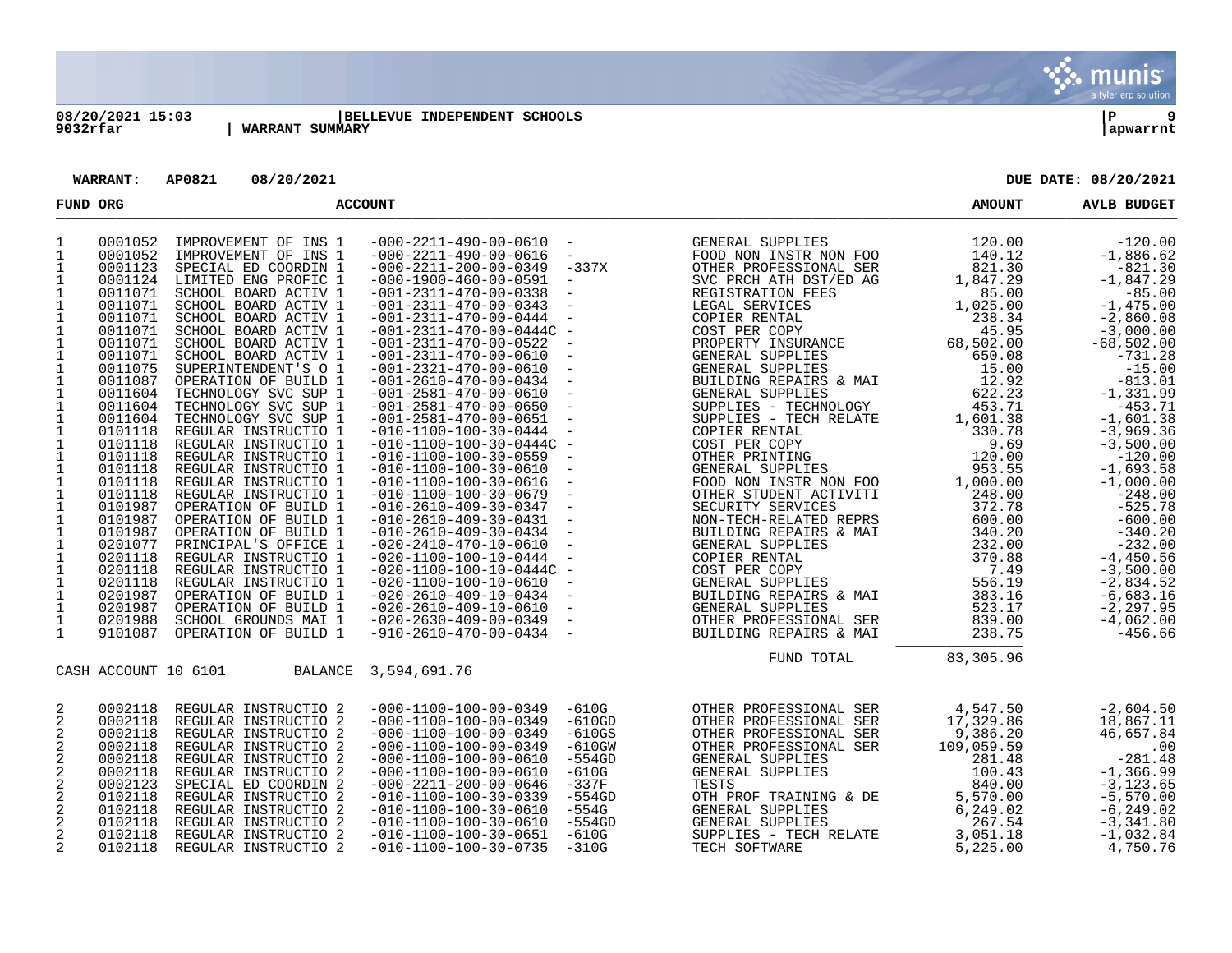

## **08/20/2021 15:03 |BELLEVUE INDEPENDENT SCHOOLS |P 9** | WARRANT SUMMARY

**WARRANT: AP0821 08/20/2021 DUE DATE: 08/20/2021**

| FUND ORG                                                                                                                                                                                                                                                                                                                                                                              |                                                                                                                                                                                                                                                                                                                                                   |                                                                                                                                                                                                                                                                                                                                                                                                                                                                                                                                                                                                                                                                                                                                                                      | <b>ACCOUNT</b>                                                                                                                                                                                                                                                                                                                                                                                                                                                                                                                                                                                                                                                                                                                                                                                                                                                                                                                                                           | <b>AMOUNT</b>                                                                                                                                                                                                                                                                                                     | <b>AVLB BUDGET</b>                                                                                                                                                                                                                                                                                                                                                                                                                                                                                                                                                                                                                       |                                                                                                                                                       |                                                                                                                                                                                                                                                                                                                                                                                                                                                       |
|---------------------------------------------------------------------------------------------------------------------------------------------------------------------------------------------------------------------------------------------------------------------------------------------------------------------------------------------------------------------------------------|---------------------------------------------------------------------------------------------------------------------------------------------------------------------------------------------------------------------------------------------------------------------------------------------------------------------------------------------------|----------------------------------------------------------------------------------------------------------------------------------------------------------------------------------------------------------------------------------------------------------------------------------------------------------------------------------------------------------------------------------------------------------------------------------------------------------------------------------------------------------------------------------------------------------------------------------------------------------------------------------------------------------------------------------------------------------------------------------------------------------------------|--------------------------------------------------------------------------------------------------------------------------------------------------------------------------------------------------------------------------------------------------------------------------------------------------------------------------------------------------------------------------------------------------------------------------------------------------------------------------------------------------------------------------------------------------------------------------------------------------------------------------------------------------------------------------------------------------------------------------------------------------------------------------------------------------------------------------------------------------------------------------------------------------------------------------------------------------------------------------|-------------------------------------------------------------------------------------------------------------------------------------------------------------------------------------------------------------------------------------------------------------------------------------------------------------------|------------------------------------------------------------------------------------------------------------------------------------------------------------------------------------------------------------------------------------------------------------------------------------------------------------------------------------------------------------------------------------------------------------------------------------------------------------------------------------------------------------------------------------------------------------------------------------------------------------------------------------------|-------------------------------------------------------------------------------------------------------------------------------------------------------|-------------------------------------------------------------------------------------------------------------------------------------------------------------------------------------------------------------------------------------------------------------------------------------------------------------------------------------------------------------------------------------------------------------------------------------------------------|
| 1<br>$\mathbf{1}$<br>1<br>$\mathbf{1}$<br>1<br>$\mathbf{1}$<br>$\mathbf{1}$<br>$\mathbf{1}$<br>$\mathbf{1}$<br>$\mathbf 1$<br>$\mathbf 1$<br>1<br>$\mathbf{1}$<br>$\mathbf{1}$<br>1<br>$\mathbf{1}$<br>$\mathbf 1$<br>$\mathbf{1}$<br>$\mathbf{1}$<br>$\mathbf{1}$<br>$\mathbf{1}$<br>$\mathbf 1$<br>$\mathbf{1}$<br>1<br>$\frac{1}{1}$<br>1<br>$\mathbf 1$<br>$\mathbf{1}$<br>1<br>1 | 0001052<br>0001052<br>0001123<br>0001124<br>0011071<br>0011071<br>0011071<br>0011071<br>0011071<br>0011071<br>0011075<br>0011087<br>0011604<br>0011604<br>0011604<br>0101118<br>0101118<br>0101118<br>0101118<br>0101118<br>0101118<br>0101987<br>0101987<br>0101987<br>0201077<br>0201118<br>0201118<br>0201118<br>0201987<br>0201987<br>0201988 | IMPROVEMENT OF INS 1<br>IMPROVEMENT OF INS 1<br>SPECIAL ED COORDIN 1<br>LIMITED ENG PROFIC 1<br>SCHOOL BOARD ACTIV 1<br>SCHOOL BOARD ACTIV 1<br>SCHOOL BOARD ACTIV 1<br>SCHOOL BOARD ACTIV 1<br>SCHOOL BOARD ACTIV 1<br>SCHOOL BOARD ACTIV 1<br>SUPERINTENDENT'S O 1<br>OPERATION OF BUILD 1<br>TECHNOLOGY SVC SUP 1<br>TECHNOLOGY SVC SUP 1<br>TECHNOLOGY SVC SUP 1<br>REGULAR INSTRUCTIO 1<br>REGULAR INSTRUCTIO 1<br>REGULAR INSTRUCTIO 1<br>REGULAR INSTRUCTIO 1<br>REGULAR INSTRUCTIO 1<br>REGULAR INSTRUCTIO 1<br>OPERATION OF BUILD 1<br>OPERATION OF BUILD 1<br>OPERATION OF BUILD 1<br>PRINCIPAL'S OFFICE 1<br>REGULAR INSTRUCTIO 1<br>REGULAR INSTRUCTIO 1<br>REGULAR INSTRUCTIO 1<br>OPERATION OF BUILD 1<br>OPERATION OF BUILD 1<br>SCHOOL GROUNDS MAI 1 | $-000-2211-490-00-0610$ -<br>$-000-2211-490-00-0616$<br>$-000-2211-200-00-0349$<br>$-000 - 1900 - 460 - 00 - 0591$<br>$-001-2311-470-00-0338$<br>$-001-2311-470-00-0343$<br>$-001-2311-470-00-0444$<br>$-001-2311-470-00-0444C -$<br>-001-2311-470-00-0522<br>$-001-2311-470-00-0610$<br>$-001-2321-470-00-0610$<br>$-001 - 2610 - 470 - 00 - 0434$<br>$-001-2581-470-00-0610$<br>$-001-2581-470-00-0650$<br>$-001-2581-470-00-0651$ -<br>$-010 - 1100 - 100 - 30 - 0444$<br>$-010-1100-100-30-0444C -$<br>$-010 - 1100 - 100 - 30 - 0559$<br>$-010-1100-100-30-0610$<br>$-010-1100-100-30-0616$<br>$-010 - 1100 - 100 - 30 - 0679$<br>$-010-2610-409-30-0347 -$<br>$-010-2610-409-30-0431$<br>$-010-2610-409-30-0434$<br>$-020 - 2410 - 470 - 10 - 0610$<br>$-020 - 1100 - 100 - 10 - 0444$<br>$-020 - 1100 - 100 - 10 - 0444C -$<br>$-020 - 1100 - 100 - 10 - 0610$<br>$-020 - 2610 - 409 - 10 - 0434$<br>$-020 - 2610 - 409 - 10 - 0610$<br>$-020-2630-409-00-0349$ - | $\sim$<br>-337X<br>$\overline{\phantom{a}}$<br>$\overline{\phantom{a}}$<br>$\sim$ $-$<br>$\sim$ $-$<br>$\sim$ $-$<br>$\sim$ $-$<br>$\sim$ $-$<br>$\sim$ $-$<br>$\sim$ $-$<br>$\sim$<br>$\overline{\phantom{0}}$<br>$\sim$ $-$<br>$\sim$ $-$<br>$\sim$ $-$<br>$\sim$ $-$<br>$\sim$ $-$<br>$\sim$ $-$<br>$\sim$ $-$ | GENERAL SUPPLIES<br>FOOD NON INSTR NON FOO<br>OTHER PROFESSIONAL SER<br>SVC PRCH ATH DST/ED AG<br>REGISTRATION FEES<br>LEGAL SERVICES<br>LEGAL SERVICES<br>COPIER RENTAL<br>COST PER COPY<br>PROPERTY INSURANCE<br>GENERAL SUPPLIES<br>BUILDING REPAIRS & MAI<br>GENERAL SUPPLIES<br>BUILDING REPAIRS & MAI<br>GENERAL SUPPLIES<br>CRIPRIES 622.23<br>SUPPLIES 622.23<br>SUPPLIES 7 TECHNOLOGY 453.71<br>SUPPLIES 7 TECHNOLOGY 453.71<br>COPTER RENTAL 330.78<br>COFT PER COPY 9.60<br>OTHER PRINTING 120.00<br>GENERAL SUPPLIES 953.55<br>FOOD NON INSTR NON FOO 1,000.00<br>OTHER<br><b>GENERAL SUPPLIES</b><br>OTHER PROFESSIONAL SER | 120.00<br>140.12<br>821.30<br>1,847.29<br>85.00<br>1,025.00<br>238.34<br>45.95<br>68,502.00<br>650.08<br>15.00<br>12.92<br>622.23<br>523.17<br>839.00 | $-120.00$<br>$-1,886.62$<br>$-821.30$<br>$-1,847.29$<br>$-85.00$<br>$-1,475.00$<br>$-2,860.08$<br>$-3,000.00$<br>$-68,502.00$<br>$-731.28$<br>$-15.00$<br>$-813.01$<br>$-1, 331.99$<br>$-453.71$<br>$-1.601.38$<br>$-3,969.36$<br>$-3,500.00$<br>$-120.00$<br>$-1,693.58$<br>$-1,000.00$<br>$-248.00$<br>$-525.78$<br>$-600.00$<br>$-340.20$<br>$-232.00$<br>$-4,450.56$<br>$-3,500.00$<br>$-2,834.52$<br>$-6,683.16$<br>$-2, 297, 95$<br>$-4,062.00$ |
| $\mathbf{1}$                                                                                                                                                                                                                                                                                                                                                                          | 9101087<br>CASH ACCOUNT 10 6101                                                                                                                                                                                                                                                                                                                   | OPERATION OF BUILD 1<br>BALANCE                                                                                                                                                                                                                                                                                                                                                                                                                                                                                                                                                                                                                                                                                                                                      | $-910-2610-470-00-0434$ -<br>3,594,691.76                                                                                                                                                                                                                                                                                                                                                                                                                                                                                                                                                                                                                                                                                                                                                                                                                                                                                                                                |                                                                                                                                                                                                                                                                                                                   | BUILDING REPAIRS & MAI<br>FUND TOTAL                                                                                                                                                                                                                                                                                                                                                                                                                                                                                                                                                                                                     | 238.75<br>83,305.96                                                                                                                                   | $-456.66$                                                                                                                                                                                                                                                                                                                                                                                                                                             |
| 2<br>2<br>2<br>2<br>2<br>$\overline{c}$<br>2<br>2<br>2<br>2<br>2<br>2                                                                                                                                                                                                                                                                                                                 | 0002118<br>0002118<br>0002118<br>0002118<br>0002118<br>0002118<br>0002123<br>0102118<br>0102118<br>0102118<br>0102118<br>0102118                                                                                                                                                                                                                  | REGULAR INSTRUCTIO 2<br>REGULAR INSTRUCTIO 2<br>REGULAR INSTRUCTIO 2<br>REGULAR INSTRUCTIO 2<br>REGULAR INSTRUCTIO 2<br>REGULAR INSTRUCTIO 2<br>SPECIAL ED COORDIN 2<br>REGULAR INSTRUCTIO 2<br>REGULAR INSTRUCTIO 2<br>REGULAR INSTRUCTIO 2<br>REGULAR INSTRUCTIO 2<br>REGULAR INSTRUCTIO 2                                                                                                                                                                                                                                                                                                                                                                                                                                                                         | $-000 - 1100 - 100 - 00 - 0349$<br>$-000 - 1100 - 100 - 00 - 0349$<br>$-000 - 1100 - 100 - 00 - 0349$<br>$-000 - 1100 - 100 - 00 - 0349$<br>$-000 - 1100 - 100 - 00 - 0610$<br>$-000 - 1100 - 100 - 00 - 0610$<br>$-000-2211-200-00-0646$<br>$-010-1100-100-30-0339$<br>$-010 - 1100 - 100 - 30 - 0610$<br>$-010 - 1100 - 100 - 30 - 0610$<br>$-010 - 1100 - 100 - 30 - 0651$<br>$-010 - 1100 - 100 - 30 - 0735$                                                                                                                                                                                                                                                                                                                                                                                                                                                                                                                                                         | $-610G$<br>$-610GD$<br>$-610GS$<br>$-610$ GW<br>$-554GD$<br>$-610G$<br>$-337F$<br>$-554GD$<br>-554G<br>$-554GD$<br>$-610G$<br>$-310G$                                                                                                                                                                             | OTHER PROFESSIONAL SER<br>OTHER PROFESSIONAL SER<br>OTHER PROFESSIONAL SER<br>OTHER PROFESSIONAL SER<br>GENERAL SUPPLIES<br>GENERAL SUPPLIES<br>TESTS<br>OTH PROF TRAINING & DE<br>GENERAL SUPPLIES<br>GENERAL SUPPLIES<br>SUPPLIES - TECH RELATE<br>TECH SOFTWARE                                                                                                                                                                                                                                                                                                                                                                       | 4,547.50<br>17,329.86<br>9,386.20<br>109,059.59<br>281.48<br>100.43<br>840.00<br>5,570.00<br>6,249.02<br>267.54<br>3,051.18<br>5,225.00               | $-2,604.50$<br>18,867.11<br>46,657.84<br>.00<br>$-281.48$<br>$-1, 366.99$<br>$-3, 123.65$<br>$-5,570.00$<br>$-6, 249.02$<br>$-3,341.80$<br>$-1,032.84$<br>4,750.76                                                                                                                                                                                                                                                                                    |